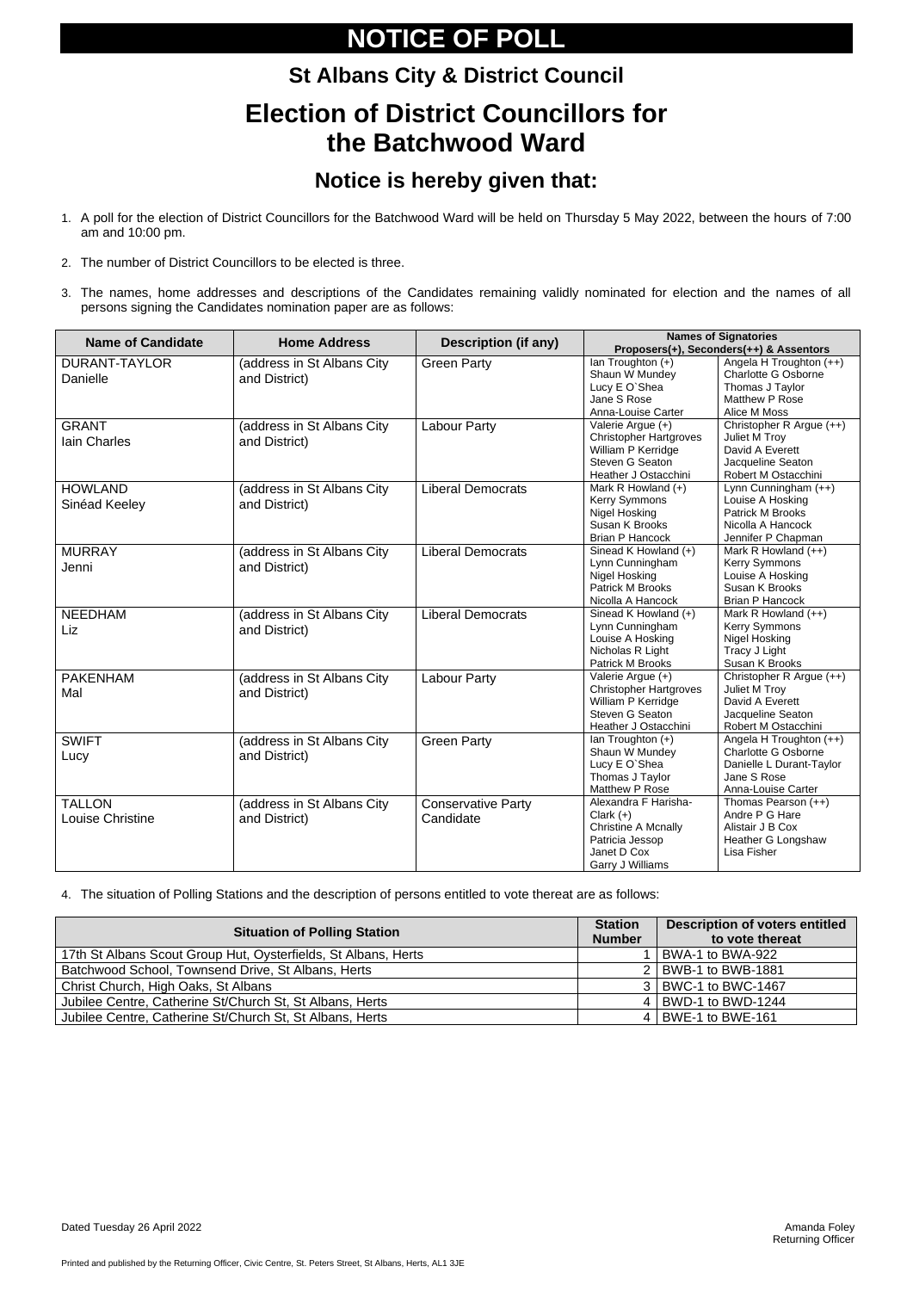Printed and published by the Returning Officer, Civic Centre, St. Peters Street, St Albans, Herts, AL1 3JE

# **NOTICE OF POLL**

# **St Albans City & District Council Election of District Councillors for the Batchwood Ward**

### **Notice is hereby given that:**

- 1. A poll for the election of District Councillors for the Batchwood Ward will be held on Thursday 5 May 2022, between the hours of 7:00 am and 10:00 pm.
- 2. The number of District Councillors to be elected is three.
- 3. The names, home addresses and descriptions of the Candidates remaining validly nominated for election and the names of all persons signing the Candidates nomination paper are as follows:

| <b>Name of Candidate</b>                 | <b>Home Address</b>                         | <b>Description (if any)</b>            | <b>Names of Signatories</b><br>Proposers(+), Seconders(++) & Assentors                                                  |                                                                                                                 |  |
|------------------------------------------|---------------------------------------------|----------------------------------------|-------------------------------------------------------------------------------------------------------------------------|-----------------------------------------------------------------------------------------------------------------|--|
| <b>DURANT-TAYLOR</b><br>Danielle         | (address in St Albans City<br>and District) | <b>Green Party</b>                     | Ian Troughton (+)<br>Shaun W Mundey<br>Lucy E O'Shea<br>Jane S Rose<br>Anna-Louise Carter                               | Angela H Troughton (++)<br><b>Charlotte G Osborne</b><br>Thomas J Taylor<br>Matthew P Rose<br>Alice M Moss      |  |
| <b>GRANT</b><br><b>lain Charles</b>      | (address in St Albans City<br>and District) | <b>Labour Party</b>                    | Valerie Argue (+)<br><b>Christopher Hartgroves</b><br>William P Kerridge<br>Steven G Seaton<br>Heather J Ostacchini     | Christopher R Argue (++)<br>Juliet M Troy<br>David A Everett<br>Jacqueline Seaton<br>Robert M Ostacchini        |  |
| <b>HOWLAND</b><br>Sinéad Keeley          | (address in St Albans City<br>and District) | <b>Liberal Democrats</b>               | Mark R Howland (+)<br><b>Kerry Symmons</b><br>Nigel Hosking<br>Susan K Brooks<br><b>Brian P Hancock</b>                 | Lynn Cunningham (++)<br>Louise A Hosking<br>Patrick M Brooks<br>Nicolla A Hancock<br>Jennifer P Chapman         |  |
| <b>MURRAY</b><br>Jenni                   | (address in St Albans City<br>and District) | <b>Liberal Democrats</b>               | Sinead K Howland (+)<br>Lynn Cunningham<br>Nigel Hosking<br>Patrick M Brooks<br>Nicolla A Hancock                       | Mark R Howland (++)<br>Kerry Symmons<br>Louise A Hosking<br>Susan K Brooks<br><b>Brian P Hancock</b>            |  |
| <b>NEEDHAM</b><br>Liz                    | (address in St Albans City<br>and District) | <b>Liberal Democrats</b>               | Sinead K Howland (+)<br>Lynn Cunningham<br>Louise A Hosking<br>Nicholas R Light<br>Patrick M Brooks                     | Mark R Howland (++)<br><b>Kerry Symmons</b><br>Nigel Hosking<br>Tracy J Light<br>Susan K Brooks                 |  |
| <b>PAKENHAM</b><br>Mal                   | (address in St Albans City<br>and District) | <b>Labour Party</b>                    | Valerie Argue (+)<br><b>Christopher Hartgroves</b><br>William P Kerridge<br>Steven G Seaton<br>Heather J Ostacchini     | Christopher R Argue (++)<br>Juliet M Troy<br>David A Everett<br>Jacqueline Seaton<br>Robert M Ostacchini        |  |
| <b>SWIFT</b><br>Lucy                     | (address in St Albans City<br>and District) | <b>Green Party</b>                     | lan Troughton (+)<br>Shaun W Mundey<br>Lucy E O'Shea<br>Thomas J Taylor<br>Matthew P Rose                               | Angela H Troughton (++)<br>Charlotte G Osborne<br>Danielle L Durant-Taylor<br>Jane S Rose<br>Anna-Louise Carter |  |
| <b>TALLON</b><br><b>Louise Christine</b> | (address in St Albans City<br>and District) | <b>Conservative Party</b><br>Candidate | Alexandra F Harisha-<br>Clark $(+)$<br><b>Christine A Mcnally</b><br>Patricia Jessop<br>Janet D Cox<br>Garry J Williams | Thomas Pearson (++)<br>Andre P G Hare<br>Alistair J B Cox<br>Heather G Longshaw<br>Lisa Fisher                  |  |

4. The situation of Polling Stations and the description of persons entitled to vote thereat are as follows:

| <b>Situation of Polling Station</b>                            | <b>Station</b><br><b>Number</b> | <b>Description of voters entitled</b><br>to vote thereat |
|----------------------------------------------------------------|---------------------------------|----------------------------------------------------------|
| 17th St Albans Scout Group Hut, Oysterfields, St Albans, Herts |                                 | BWA-1 to BWA-922                                         |
| Batchwood School, Townsend Drive, St Albans, Herts             |                                 | 2   BWB-1 to BWB-1881                                    |
| Christ Church, High Oaks, St Albans                            |                                 | 3   BWC-1 to BWC-1467                                    |
| Jubilee Centre, Catherine St/Church St, St Albans, Herts       |                                 | 4   BWD-1 to BWD-1244                                    |
| Jubilee Centre, Catherine St/Church St, St Albans, Herts       |                                 | 4   BWE-1 to BWE-161                                     |

Dated Tuesday 26 April 2022 **Amanda Foley** Amanda Foley

Returning Officer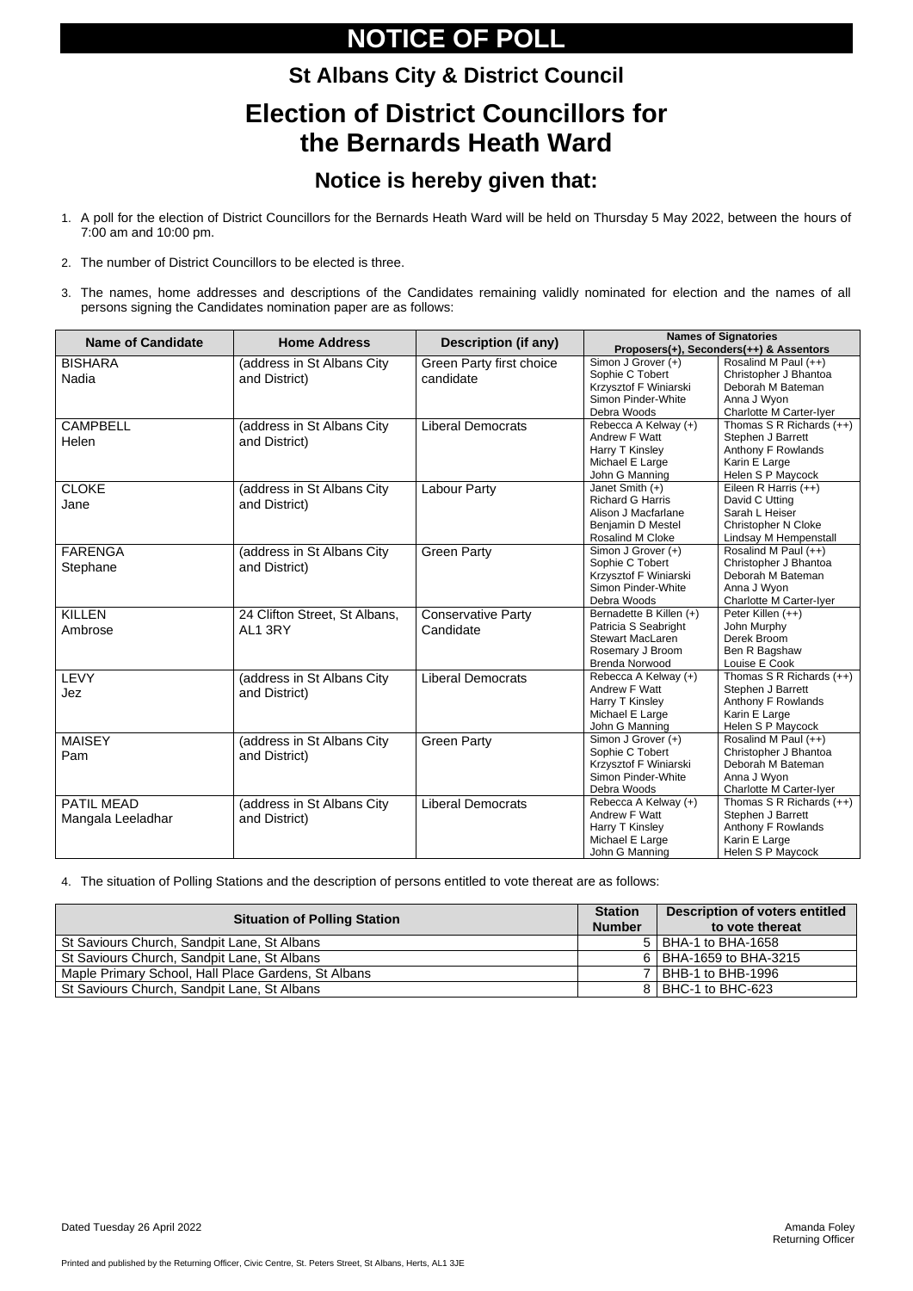Printed and published by the Returning Officer, Civic Centre, St. Peters Street, St Albans, Herts, AL1 3JE

# **NOTICE OF POLL**

### **St Albans City & District Council Election of District Councillors for the Bernards Heath Ward**

### **Notice is hereby given that:**

- 1. A poll for the election of District Councillors for the Bernards Heath Ward will be held on Thursday 5 May 2022, between the hours of 7:00 am and 10:00 pm.
- 2. The number of District Councillors to be elected is three.
- 3. The names, home addresses and descriptions of the Candidates remaining validly nominated for election and the names of all persons signing the Candidates nomination paper are as follows:

| <b>Name of Candidate</b> | <b>Home Address</b>           | <b>Description (if any)</b>     | <b>Names of Signatories</b><br>Proposers(+), Seconders(++) & Assentors |                                 |
|--------------------------|-------------------------------|---------------------------------|------------------------------------------------------------------------|---------------------------------|
|                          |                               |                                 |                                                                        |                                 |
| <b>BISHARA</b>           | (address in St Albans City    | <b>Green Party first choice</b> | Simon J Grover (+)                                                     | Rosalind M Paul (++)            |
| Nadia                    | and District)                 | candidate                       | Sophie C Tobert                                                        | Christopher J Bhantoa           |
|                          |                               |                                 | Krzysztof F Winiarski                                                  | Deborah M Bateman               |
|                          |                               |                                 | Simon Pinder-White                                                     | Anna J Wyon                     |
|                          |                               |                                 | Debra Woods                                                            | Charlotte M Carter-Iyer         |
| <b>CAMPBELL</b>          | (address in St Albans City    | <b>Liberal Democrats</b>        | Rebecca A Kelway (+)                                                   | Thomas $S \, R$ Richards $(++)$ |
| Helen                    | and District)                 |                                 | Andrew F Watt                                                          | Stephen J Barrett               |
|                          |                               |                                 | Harry T Kinsley                                                        | Anthony F Rowlands              |
|                          |                               |                                 | Michael E Large                                                        | Karin E Large                   |
|                          |                               |                                 | John G Manning                                                         | Helen S P Maycock               |
| <b>CLOKE</b>             | (address in St Albans City    | <b>Labour Party</b>             | Janet Smith (+)                                                        | Eileen R Harris (++)            |
| Jane                     | and District)                 |                                 | <b>Richard G Harris</b>                                                | David C Utting                  |
|                          |                               |                                 | Alison J Macfarlane                                                    | Sarah L Heiser                  |
|                          |                               |                                 | Benjamin D Mestel                                                      | Christopher N Cloke             |
|                          |                               |                                 | Rosalind M Cloke                                                       | Lindsay M Hempenstall           |
| <b>FARENGA</b>           | (address in St Albans City    | <b>Green Party</b>              | Simon J Grover (+)                                                     | Rosalind M Paul (++)            |
| Stephane                 | and District)                 |                                 | Sophie C Tobert                                                        | Christopher J Bhantoa           |
|                          |                               |                                 | Krzysztof F Winiarski                                                  | Deborah M Bateman               |
|                          |                               |                                 | Simon Pinder-White                                                     | Anna J Wyon                     |
|                          |                               |                                 | Debra Woods                                                            | Charlotte M Carter-Iyer         |
| <b>KILLEN</b>            | 24 Clifton Street, St Albans, | <b>Conservative Party</b>       | Bernadette B Killen (+)                                                | Peter Killen (++)               |
| Ambrose                  | AL1 3RY                       | Candidate                       | Patricia S Seabright                                                   | John Murphy                     |
|                          |                               |                                 | <b>Stewart MacLaren</b>                                                | Derek Broom                     |
|                          |                               |                                 | Rosemary J Broom                                                       | Ben R Bagshaw                   |
|                          |                               |                                 | <b>Brenda Norwood</b>                                                  | Louise E Cook                   |
| <b>LEVY</b>              | (address in St Albans City    | <b>Liberal Democrats</b>        | Rebecca A Kelway (+)                                                   | Thomas $S \, R$ Richards $(++)$ |
| Jez                      | and District)                 |                                 | Andrew F Watt                                                          | Stephen J Barrett               |
|                          |                               |                                 | Harry T Kinsley                                                        | Anthony F Rowlands              |
|                          |                               |                                 | Michael E Large                                                        | Karin E Large                   |
|                          |                               |                                 | John G Manning                                                         | Helen S P Maycock               |
| <b>MAISEY</b>            | (address in St Albans City    | <b>Green Party</b>              | Simon J Grover (+)                                                     | Rosalind M Paul (++)            |
| Pam                      | and District)                 |                                 | Sophie C Tobert                                                        | Christopher J Bhantoa           |
|                          |                               |                                 | Krzysztof F Winiarski                                                  | Deborah M Bateman               |
|                          |                               |                                 | Simon Pinder-White                                                     | Anna J Wyon                     |
|                          |                               |                                 | Debra Woods                                                            | Charlotte M Carter-Iyer         |
| <b>PATIL MEAD</b>        | (address in St Albans City    | <b>Liberal Democrats</b>        | Rebecca A Kelway (+)                                                   | Thomas S R Richards $(++)$      |
| Mangala Leeladhar        | and District)                 |                                 | Andrew F Watt                                                          | Stephen J Barrett               |
|                          |                               |                                 | Harry T Kinsley                                                        | Anthony F Rowlands              |
|                          |                               |                                 | Michael E Large                                                        | Karin E Large                   |
|                          |                               |                                 | John G Manning                                                         | Helen S P Maycock               |

4. The situation of Polling Stations and the description of persons entitled to vote thereat are as follows:

| <b>Situation of Polling Station</b>                 |  | <b>Description of voters entitled</b> |
|-----------------------------------------------------|--|---------------------------------------|
|                                                     |  | to vote thereat                       |
| St Saviours Church, Sandpit Lane, St Albans         |  | $5$   BHA-1 to BHA-1658               |
| St Saviours Church, Sandpit Lane, St Albans         |  | 6 BHA-1659 to BHA-3215                |
| Maple Primary School, Hall Place Gardens, St Albans |  | 7   BHB-1 to BHB-1996                 |
| St Saviours Church, Sandpit Lane, St Albans         |  | 8   BHC-1 to BHC-623                  |

Dated Tuesday 26 April 2022 **Amanda Foley** Amanda Foley

Returning Officer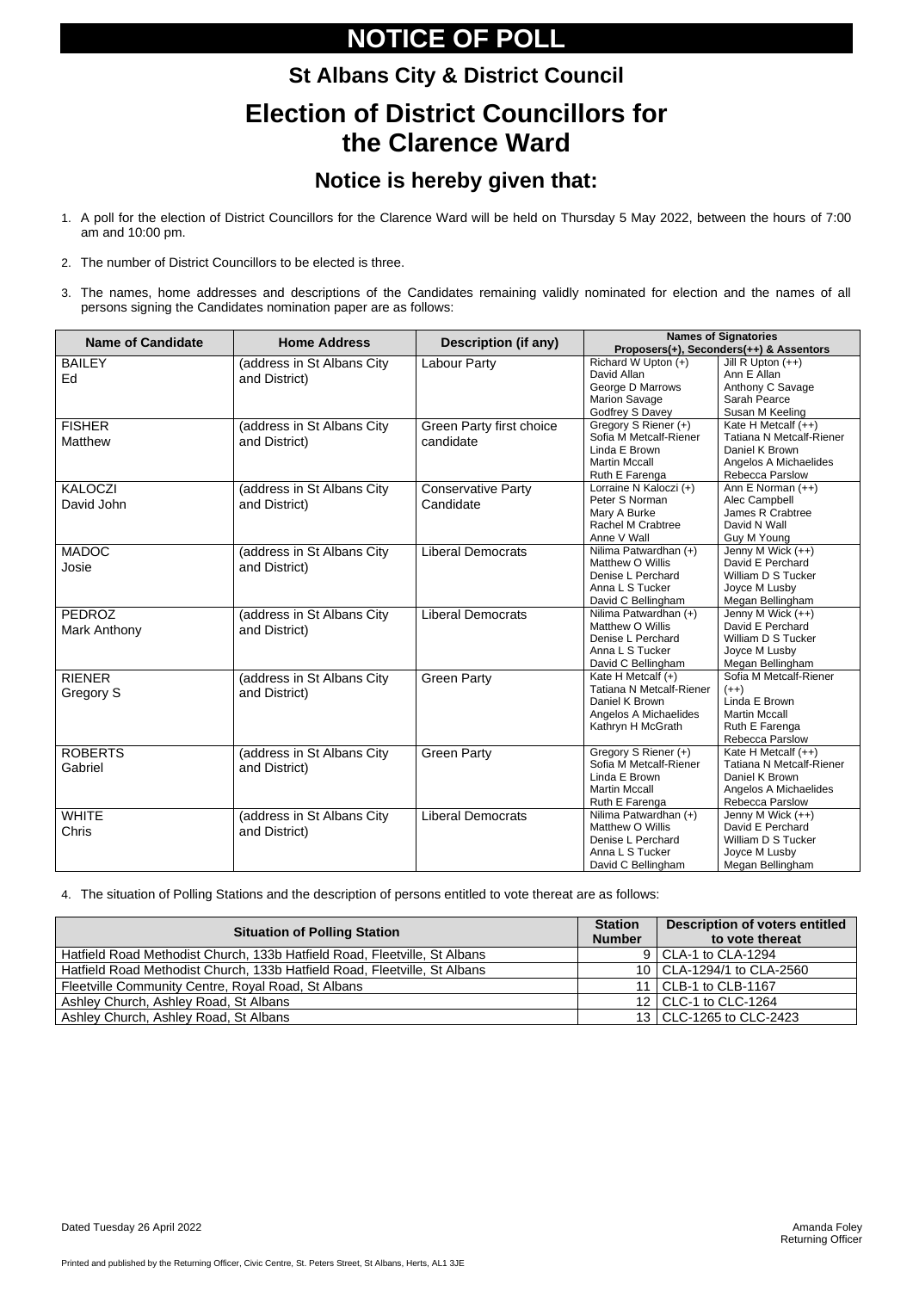Printed and published by the Returning Officer, Civic Centre, St. Peters Street, St Albans, Herts, AL1 3JE

# **NOTICE OF POLL**

# **St Albans City & District Council Election of District Councillors for the Clarence Ward**

### **Notice is hereby given that:**

- 1. A poll for the election of District Councillors for the Clarence Ward will be held on Thursday 5 May 2022, between the hours of 7:00 am and 10:00 pm.
- 2. The number of District Councillors to be elected is three.
- 3. The names, home addresses and descriptions of the Candidates remaining validly nominated for election and the names of all persons signing the Candidates nomination paper are as follows:

| <b>Name of Candidate</b>             | <b>Home Address</b>                         | <b>Description (if any)</b>                  | <b>Names of Signatories</b><br>Proposers(+), Seconders(++) & Assentors                                                |                                                                                                                |  |
|--------------------------------------|---------------------------------------------|----------------------------------------------|-----------------------------------------------------------------------------------------------------------------------|----------------------------------------------------------------------------------------------------------------|--|
| <b>BAILEY</b><br>Ed                  | (address in St Albans City<br>and District) | <b>Labour Party</b>                          | Richard W Upton (+)<br>David Allan<br>George D Marrows<br><b>Marion Savage</b><br>Godfrey S Davey                     | Jill R Upton $(++)$<br>Ann E Allan<br>Anthony C Savage<br>Sarah Pearce<br>Susan M Keeling                      |  |
| <b>FISHER</b><br><b>Matthew</b>      | (address in St Albans City<br>and District) | <b>Green Party first choice</b><br>candidate | Gregory S Riener (+)<br>Sofia M Metcalf-Riener<br>Linda E Brown<br><b>Martin Mccall</b><br>Ruth E Farenga             | Kate H Metcalf (++)<br>Tatiana N Metcalf-Riener<br>Daniel K Brown<br>Angelos A Michaelides<br>Rebecca Parslow  |  |
| <b>KALOCZI</b><br>David John         | (address in St Albans City<br>and District) | <b>Conservative Party</b><br>Candidate       | Lorraine N Kaloczi (+)<br>Peter S Norman<br>Mary A Burke<br>Rachel M Crabtree<br>Anne V Wall                          | Ann E Norman (++)<br>Alec Campbell<br>James R Crabtree<br>David N Wall<br>Guy M Young                          |  |
| <b>MADOC</b><br>Josie                | (address in St Albans City<br>and District) | <b>Liberal Democrats</b>                     | Nilima Patwardhan (+)<br>Matthew O Willis<br>Denise L Perchard<br>Anna L S Tucker<br>David C Bellingham               | Jenny M Wick (++)<br>David E Perchard<br>William D S Tucker<br>Joyce M Lusby<br>Megan Bellingham               |  |
| <b>PEDROZ</b><br><b>Mark Anthony</b> | (address in St Albans City<br>and District) | <b>Liberal Democrats</b>                     | Nilima Patwardhan (+)<br>Matthew O Willis<br>Denise L Perchard<br>Anna L S Tucker<br>David C Bellingham               | Jenny M Wick (++)<br>David E Perchard<br>William D S Tucker<br>Joyce M Lusby<br>Megan Bellingham               |  |
| <b>RIENER</b><br>Gregory S           | (address in St Albans City<br>and District) | <b>Green Party</b>                           | Kate H Metcalf (+)<br><b>Tatiana N Metcalf-Riener</b><br>Daniel K Brown<br>Angelos A Michaelides<br>Kathryn H McGrath | Sofia M Metcalf-Riener<br>$(++)$<br>Linda E Brown<br><b>Martin Mccall</b><br>Ruth E Farenga<br>Rebecca Parslow |  |
| <b>ROBERTS</b><br>Gabriel            | (address in St Albans City<br>and District) | <b>Green Party</b>                           | Gregory S Riener (+)<br>Sofia M Metcalf-Riener<br>Linda E Brown<br><b>Martin Mccall</b><br>Ruth E Farenga             | Kate H Metcalf (++)<br>Tatiana N Metcalf-Riener<br>Daniel K Brown<br>Angelos A Michaelides<br>Rebecca Parslow  |  |
| <b>WHITE</b><br><b>Chris</b>         | (address in St Albans City<br>and District) | <b>Liberal Democrats</b>                     | Nilima Patwardhan (+)<br>Matthew O Willis<br>Denise L Perchard<br>Anna L S Tucker<br>David C Bellingham               | Jenny M Wick (++)<br>David E Perchard<br>William D S Tucker<br>Joyce M Lusby<br>Megan Bellingham               |  |

4. The situation of Polling Stations and the description of persons entitled to vote thereat are as follows:

| <b>Situation of Polling Station</b>                                       |  | <b>Description of voters entitled</b><br>to vote thereat |
|---------------------------------------------------------------------------|--|----------------------------------------------------------|
| Hatfield Road Methodist Church, 133b Hatfield Road, Fleetville, St Albans |  | 9   CLA-1 to CLA-1294                                    |
| Hatfield Road Methodist Church, 133b Hatfield Road, Fleetville, St Albans |  | 10   CLA-1294/1 to CLA-2560                              |
| Fleetville Community Centre, Royal Road, St Albans                        |  | 11   CLB-1 to CLB-1167                                   |
| Ashley Church, Ashley Road, St Albans                                     |  | 12   CLC-1 to CLC-1264                                   |
| Ashley Church, Ashley Road, St Albans                                     |  | 13   CLC-1265 to CLC-2423                                |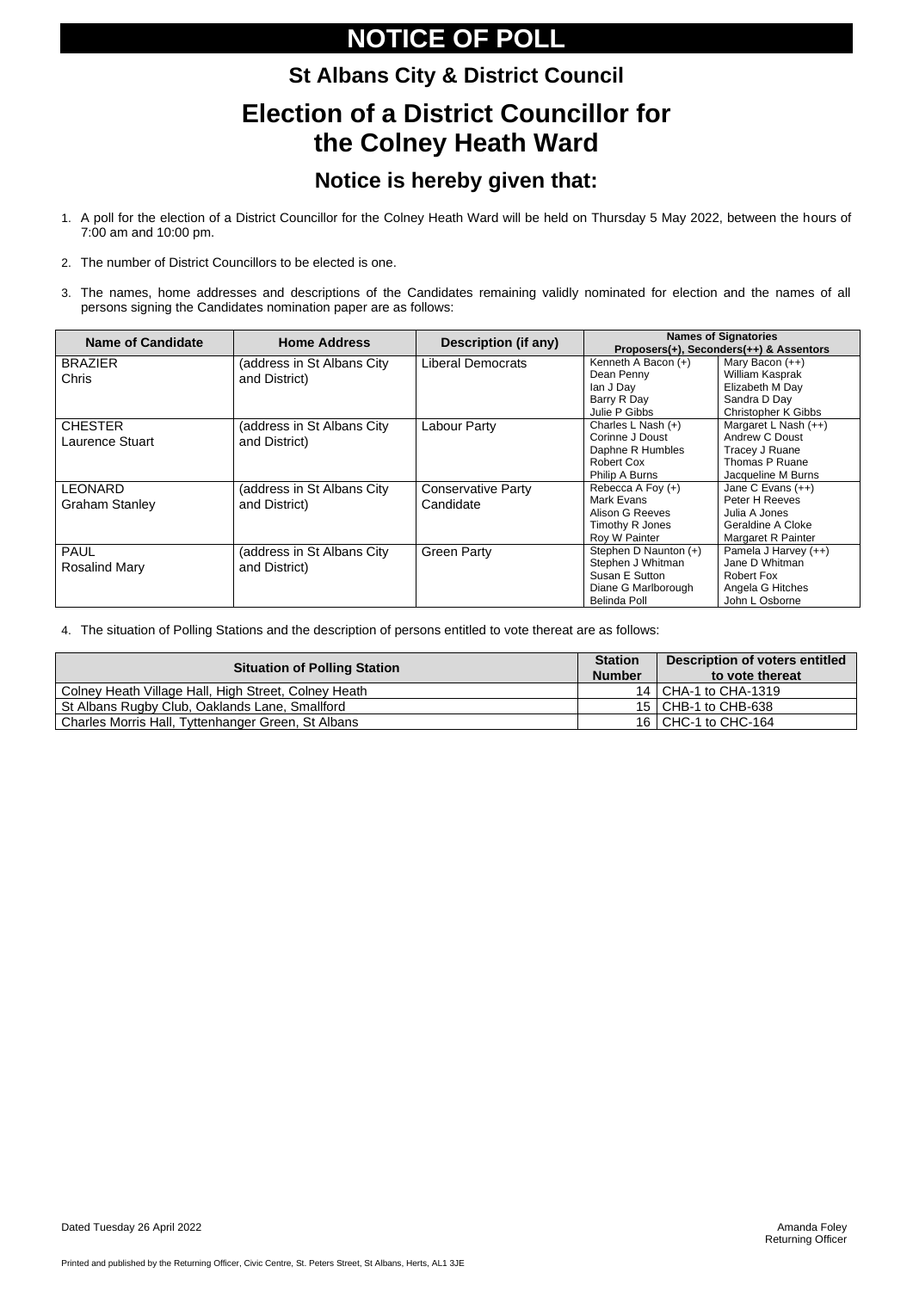Printed and published by the Returning Officer, Civic Centre, St. Peters Street, St Albans, Herts, AL1 3JE

# **NOTICE OF POLL**

# **St Albans City & District Council Election of a District Councillor for the Colney Heath Ward**

### **Notice is hereby given that:**

- 1. A poll for the election of a District Councillor for the Colney Heath Ward will be held on Thursday 5 May 2022, between the hours of 7:00 am and 10:00 pm.
- 2. The number of District Councillors to be elected is one.
- 3. The names, home addresses and descriptions of the Candidates remaining validly nominated for election and the names of all persons signing the Candidates nomination paper are as follows:

| <b>Name of Candidate</b>                 | <b>Home Address</b>                          | <b>Description (if any)</b>            | <b>Names of Signatories</b><br>Proposers(+), Seconders(++) & Assentors                                     |                                                                                                         |  |
|------------------------------------------|----------------------------------------------|----------------------------------------|------------------------------------------------------------------------------------------------------------|---------------------------------------------------------------------------------------------------------|--|
| <b>BRAZIER</b><br><b>Chris</b>           | (address in St Albans City)<br>and District) | Liberal Democrats                      | Kenneth A Bacon (+)<br>Dean Penny<br>lan J Day<br>Barry R Day<br>Julie P Gibbs                             | Mary Bacon $(++)$<br>William Kasprak<br>Elizabeth M Day<br>Sandra D Day<br><b>Christopher K Gibbs</b>   |  |
| <b>CHESTER</b><br><b>Laurence Stuart</b> | (address in St Albans City<br>and District)  | Labour Party                           | Charles L Nash (+)<br>Corinne J Doust<br>Daphne R Humbles<br>Robert Cox<br>Philip A Burns                  | Margaret L Nash (++)<br><b>Andrew C Doust</b><br>Tracey J Ruane<br>Thomas P Ruane<br>Jacqueline M Burns |  |
| <b>LEONARD</b><br><b>Graham Stanley</b>  | (address in St Albans City<br>and District)  | <b>Conservative Party</b><br>Candidate | Rebecca A Foy (+)<br>Mark Evans<br>Alison G Reeves<br>Timothy R Jones<br>Roy W Painter                     | Jane C Evans $(++)$<br>Peter H Reeves<br>Julia A Jones<br>Geraldine A Cloke<br>Margaret R Painter       |  |
| <b>PAUL</b><br><b>Rosalind Mary</b>      | (address in St Albans City)<br>and District) | <b>Green Party</b>                     | Stephen D Naunton (+)<br>Stephen J Whitman<br>Susan E Sutton<br>Diane G Marlborough<br><b>Belinda Poll</b> | Pamela J Harvey (++)<br>Jane D Whitman<br>Robert Fox<br>Angela G Hitches<br>John L Osborne              |  |

4. The situation of Polling Stations and the description of persons entitled to vote thereat are as follows:

| <b>Situation of Polling Station</b>                  | <b>Station</b><br><b>Number</b> | <b>Description of voters entitled</b><br>to vote thereat |
|------------------------------------------------------|---------------------------------|----------------------------------------------------------|
| Colney Heath Village Hall, High Street, Colney Heath |                                 | 14   CHA-1 to CHA-1319                                   |
| St Albans Rugby Club, Oaklands Lane, Smallford       |                                 | 15   CHB-1 to CHB-638                                    |
| Charles Morris Hall, Tyttenhanger Green, St Albans   |                                 | 16   CHC-1 to CHC-164                                    |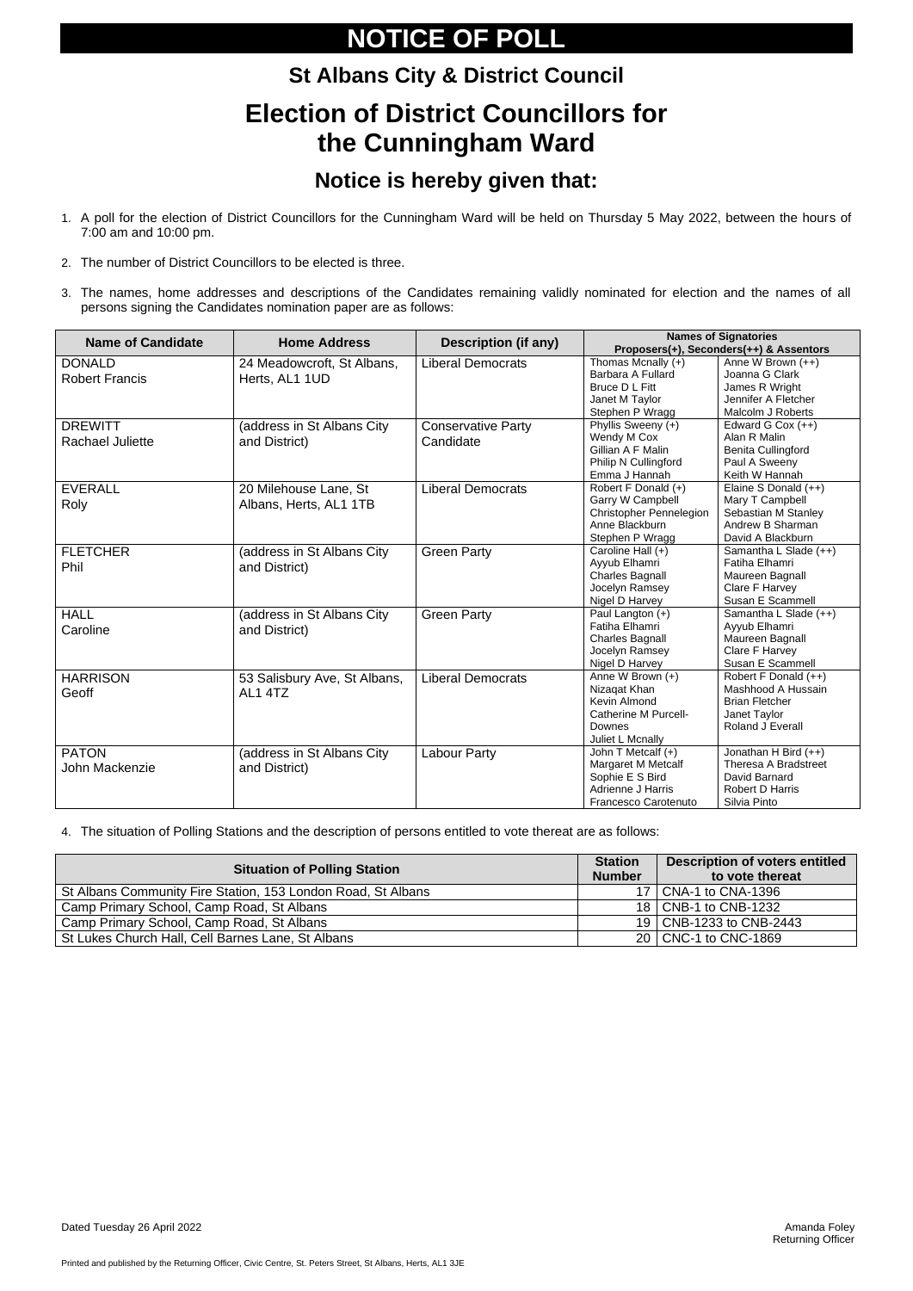Printed and published by the Returning Officer, Civic Centre, St. Peters Street, St Albans, Herts, AL1 3JE

# **NOTICE OF POLL**

# **St Albans City & District Council Election of District Councillors for the Cunningham Ward**

### **Notice is hereby given that:**

- 1. A poll for the election of District Councillors for the Cunningham Ward will be held on Thursday 5 May 2022, between the hours of 7:00 am and 10:00 pm.
- 2. The number of District Councillors to be elected is three.
- 3. The names, home addresses and descriptions of the Candidates remaining validly nominated for election and the names of all persons signing the Candidates nomination paper are as follows:

| <b>Name of Candidate</b> | <b>Home Address</b>          | <b>Description (if any)</b> | <b>Names of Signatories</b> |                                         |
|--------------------------|------------------------------|-----------------------------|-----------------------------|-----------------------------------------|
|                          |                              |                             |                             | Proposers(+), Seconders(++) & Assentors |
| <b>DONALD</b>            | 24 Meadowcroft, St Albans,   | <b>Liberal Democrats</b>    | Thomas Mcnally (+)          | Anne W Brown (++)                       |
| <b>Robert Francis</b>    | Herts, AL1 1UD               |                             | Barbara A Fullard           | Joanna G Clark                          |
|                          |                              |                             | Bruce D L Fitt              | James R Wright                          |
|                          |                              |                             | Janet M Taylor              | Jennifer A Fletcher                     |
|                          |                              |                             | Stephen P Wragg             | Malcolm J Roberts                       |
| <b>DREWITT</b>           | (address in St Albans City   | <b>Conservative Party</b>   | Phyllis Sweeny (+)          | Edward G Cox $(++)$                     |
| <b>Rachael Juliette</b>  | and District)                | Candidate                   | Wendy M Cox                 | Alan R Malin                            |
|                          |                              |                             | Gillian A F Malin           | <b>Benita Cullingford</b>               |
|                          |                              |                             | <b>Philip N Cullingford</b> | Paul A Sweeny                           |
|                          |                              |                             | Emma J Hannah               | Keith W Hannah                          |
| <b>EVERALL</b>           | 20 Milehouse Lane, St        | <b>Liberal Democrats</b>    | Robert F Donald (+)         | Elaine S Donald (++)                    |
| Roly                     | Albans, Herts, AL1 1TB       |                             | Garry W Campbell            | Mary T Campbell                         |
|                          |                              |                             | Christopher Pennelegion     | Sebastian M Stanley                     |
|                          |                              |                             | Anne Blackburn              | Andrew B Sharman                        |
|                          |                              |                             | Stephen P Wragg             | David A Blackburn                       |
| <b>FLETCHER</b>          | (address in St Albans City   | <b>Green Party</b>          | Caroline Hall (+)           | Samantha L Slade (++)                   |
| Phil                     | and District)                |                             | Ayyub Elhamri               | Fatiha Elhamri                          |
|                          |                              |                             | <b>Charles Bagnall</b>      | Maureen Bagnall                         |
|                          |                              |                             | Jocelyn Ramsey              | Clare F Harvey                          |
|                          |                              |                             | Nigel D Harvey              | Susan E Scammell                        |
| <b>HALL</b>              | (address in St Albans City   | <b>Green Party</b>          | Paul Langton (+)            | Samantha L Slade (++)                   |
| Caroline                 | and District)                |                             | Fatiha Elhamri              | Ayyub Elhamri                           |
|                          |                              |                             | <b>Charles Bagnall</b>      | Maureen Bagnall                         |
|                          |                              |                             | Jocelyn Ramsey              | Clare F Harvey                          |
|                          |                              |                             | Nigel D Harvey              | Susan E Scammell                        |
| <b>HARRISON</b>          | 53 Salisbury Ave, St Albans, | <b>Liberal Democrats</b>    | Anne W Brown (+)            | Robert F Donald (++)                    |
| Geoff                    | AL1 4TZ                      |                             | Nizaqat Khan                | Mashhood A Hussain                      |
|                          |                              |                             | Kevin Almond                | <b>Brian Fletcher</b>                   |
|                          |                              |                             | Catherine M Purcell-        | Janet Taylor                            |
|                          |                              |                             | Downes                      | Roland J Everall                        |
|                          |                              |                             | Juliet L Mcnally            |                                         |
| <b>PATON</b>             | (address in St Albans City   | <b>Labour Party</b>         | John T Metcalf (+)          | Jonathan H Bird (++)                    |
| John Mackenzie           | and District)                |                             | Margaret M Metcalf          | Theresa A Bradstreet                    |
|                          |                              |                             | Sophie E S Bird             | David Barnard                           |
|                          |                              |                             | Adrienne J Harris           | Robert D Harris                         |
|                          |                              |                             | Francesco Carotenuto        | Silvia Pinto                            |

4. The situation of Polling Stations and the description of persons entitled to vote thereat are as follows:

| <b>Situation of Polling Station</b>                          | <b>Station</b><br><b>Number</b> | Description of voters entitled<br>to vote thereat |
|--------------------------------------------------------------|---------------------------------|---------------------------------------------------|
| St Albans Community Fire Station, 153 London Road, St Albans | 17 I                            | CNA-1 to CNA-1396                                 |
| Camp Primary School, Camp Road, St Albans                    |                                 | 18   CNB-1 to CNB-1232                            |
| Camp Primary School, Camp Road, St Albans                    |                                 | 19   CNB-1233 to CNB-2443                         |
| St Lukes Church Hall, Cell Barnes Lane, St Albans            |                                 | 20   CNC-1 to CNC-1869                            |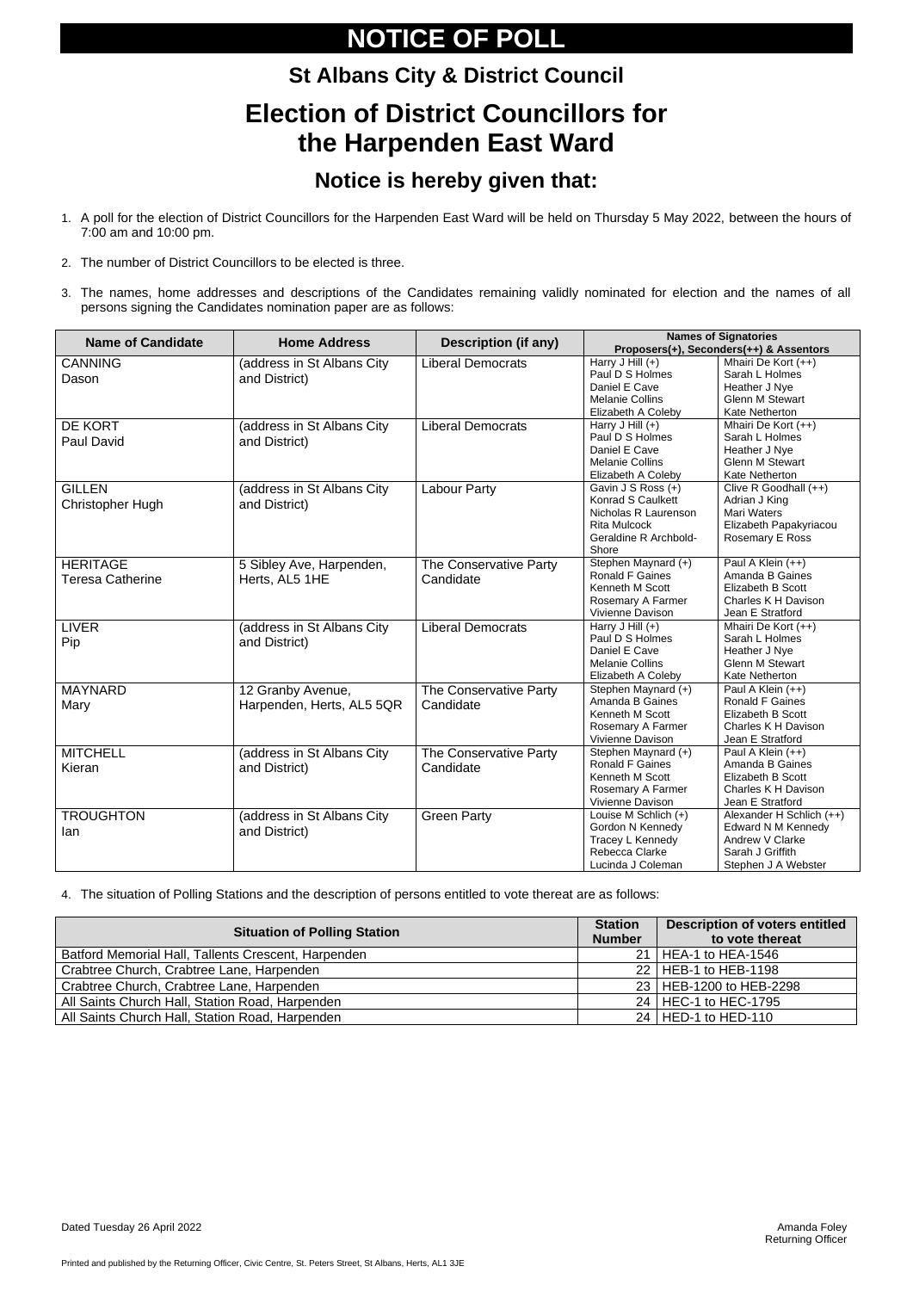Printed and published by the Returning Officer, Civic Centre, St. Peters Street, St Albans, Herts, AL1 3JE

# **NOTICE OF POLL**

### **St Albans City & District Council Election of District Councillors for the Harpenden East Ward**

### **Notice is hereby given that:**

- 1. A poll for the election of District Councillors for the Harpenden East Ward will be held on Thursday 5 May 2022, between the hours of 7:00 am and 10:00 pm.
- 2. The number of District Councillors to be elected is three.
- 3. The names, home addresses and descriptions of the Candidates remaining validly nominated for election and the names of all persons signing the Candidates nomination paper are as follows:

| <b>Name of Candidate</b> | <b>Home Address</b>        | <b>Description (if any)</b> | <b>Names of Signatories</b><br>Proposers(+), Seconders(++) & Assentors |                                      |  |
|--------------------------|----------------------------|-----------------------------|------------------------------------------------------------------------|--------------------------------------|--|
| <b>CANNING</b>           | (address in St Albans City | <b>Liberal Democrats</b>    | Harry J Hill (+)                                                       | Mhairi De Kort (++)                  |  |
| Dason                    | and District)              |                             | Paul D S Holmes                                                        | Sarah L Holmes                       |  |
|                          |                            |                             | Daniel E Cave                                                          | Heather J Nye                        |  |
|                          |                            |                             | <b>Melanie Collins</b>                                                 | <b>Glenn M Stewart</b>               |  |
|                          |                            |                             | Elizabeth A Coleby                                                     | Kate Netherton                       |  |
| DE KORT                  | (address in St Albans City | <b>Liberal Democrats</b>    | Harry J Hill $(+)$                                                     | Mhairi De Kort (++)                  |  |
| <b>Paul David</b>        | and District)              |                             | Paul D S Holmes                                                        | Sarah L Holmes                       |  |
|                          |                            |                             | Daniel E Cave                                                          | Heather J Nye                        |  |
|                          |                            |                             | <b>Melanie Collins</b>                                                 | <b>Glenn M Stewart</b>               |  |
|                          |                            |                             | Elizabeth A Coleby                                                     | Kate Netherton                       |  |
| <b>GILLEN</b>            | (address in St Albans City | <b>Labour Party</b>         | Gavin J S Ross (+)<br><b>Konrad S Caulkett</b>                         | Clive R Goodhall (++)                |  |
| <b>Christopher Hugh</b>  | and District)              |                             | Nicholas R Laurenson                                                   | Adrian J King<br>Mari Waters         |  |
|                          |                            |                             | <b>Rita Mulcock</b>                                                    | Elizabeth Papakyriacou               |  |
|                          |                            |                             | Geraldine R Archbold-                                                  | Rosemary E Ross                      |  |
|                          |                            |                             | Shore                                                                  |                                      |  |
| <b>HERITAGE</b>          | 5 Sibley Ave, Harpenden,   | The Conservative Party      | Stephen Maynard (+)                                                    | Paul A Klein (++)                    |  |
| <b>Teresa Catherine</b>  | Herts, AL5 1HE             | Candidate                   | <b>Ronald F Gaines</b>                                                 | Amanda B Gaines                      |  |
|                          |                            |                             | Kenneth M Scott                                                        | Elizabeth B Scott                    |  |
|                          |                            |                             | Rosemary A Farmer                                                      | Charles K H Davison                  |  |
|                          |                            |                             | Vivienne Davison                                                       | Jean E Stratford                     |  |
| <b>LIVER</b>             | (address in St Albans City | <b>Liberal Democrats</b>    | Harry J Hill $(+)$                                                     | Mhairi De Kort (++)                  |  |
| Pip                      | and District)              |                             | Paul D S Holmes                                                        | Sarah L Holmes                       |  |
|                          |                            |                             | Daniel E Cave                                                          | Heather J Nye                        |  |
|                          |                            |                             | <b>Melanie Collins</b>                                                 | <b>Glenn M Stewart</b>               |  |
|                          |                            |                             | Elizabeth A Coleby                                                     | Kate Netherton                       |  |
| <b>MAYNARD</b>           | 12 Granby Avenue,          | The Conservative Party      | Stephen Maynard (+)                                                    | Paul A Klein (++)                    |  |
| Mary                     | Harpenden, Herts, AL5 5QR  | Candidate                   | Amanda B Gaines<br>Kenneth M Scott                                     | Ronald F Gaines<br>Elizabeth B Scott |  |
|                          |                            |                             | Rosemary A Farmer                                                      | Charles K H Davison                  |  |
|                          |                            |                             | Vivienne Davison                                                       | Jean E Stratford                     |  |
| <b>MITCHELL</b>          | (address in St Albans City | The Conservative Party      | Stephen Maynard (+)                                                    | Paul A Klein (++)                    |  |
|                          |                            |                             | <b>Ronald F Gaines</b>                                                 | Amanda B Gaines                      |  |
| Kieran                   | and District)              | Candidate                   | Kenneth M Scott                                                        | Elizabeth B Scott                    |  |
|                          |                            |                             | Rosemary A Farmer                                                      | Charles K H Davison                  |  |
|                          |                            |                             | Vivienne Davison                                                       | Jean E Stratford                     |  |
| <b>TROUGHTON</b>         | (address in St Albans City | <b>Green Party</b>          | Louise M Schlich (+)                                                   | Alexander H Schlich (++)             |  |
| lan                      | and District)              |                             | Gordon N Kennedy                                                       | <b>Edward N M Kennedy</b>            |  |
|                          |                            |                             | Tracey L Kennedy                                                       | Andrew V Clarke                      |  |
|                          |                            |                             | Rebecca Clarke                                                         | Sarah J Griffith                     |  |
|                          |                            |                             | Lucinda J Coleman                                                      | Stephen J A Webster                  |  |

4. The situation of Polling Stations and the description of persons entitled to vote thereat are as follows:

| <b>Situation of Polling Station</b>                 | <b>Station</b><br><b>Number</b> | <b>Description of voters entitled</b><br>to vote thereat |
|-----------------------------------------------------|---------------------------------|----------------------------------------------------------|
| Batford Memorial Hall, Tallents Crescent, Harpenden | 21 <sup>1</sup>                 | <b>HEA-1 to HEA-1546</b>                                 |
| Crabtree Church, Crabtree Lane, Harpenden           | 22 <sub>1</sub>                 | HEB-1 to HEB-1198                                        |
| Crabtree Church, Crabtree Lane, Harpenden           | 23 <sub>1</sub>                 | HEB-1200 to HEB-2298                                     |
| All Saints Church Hall, Station Road, Harpenden     | 24 <sub>1</sub>                 | HEC-1 to HEC-1795                                        |
| All Saints Church Hall, Station Road, Harpenden     | 24 <sup>1</sup>                 | HED-1 to HED-110                                         |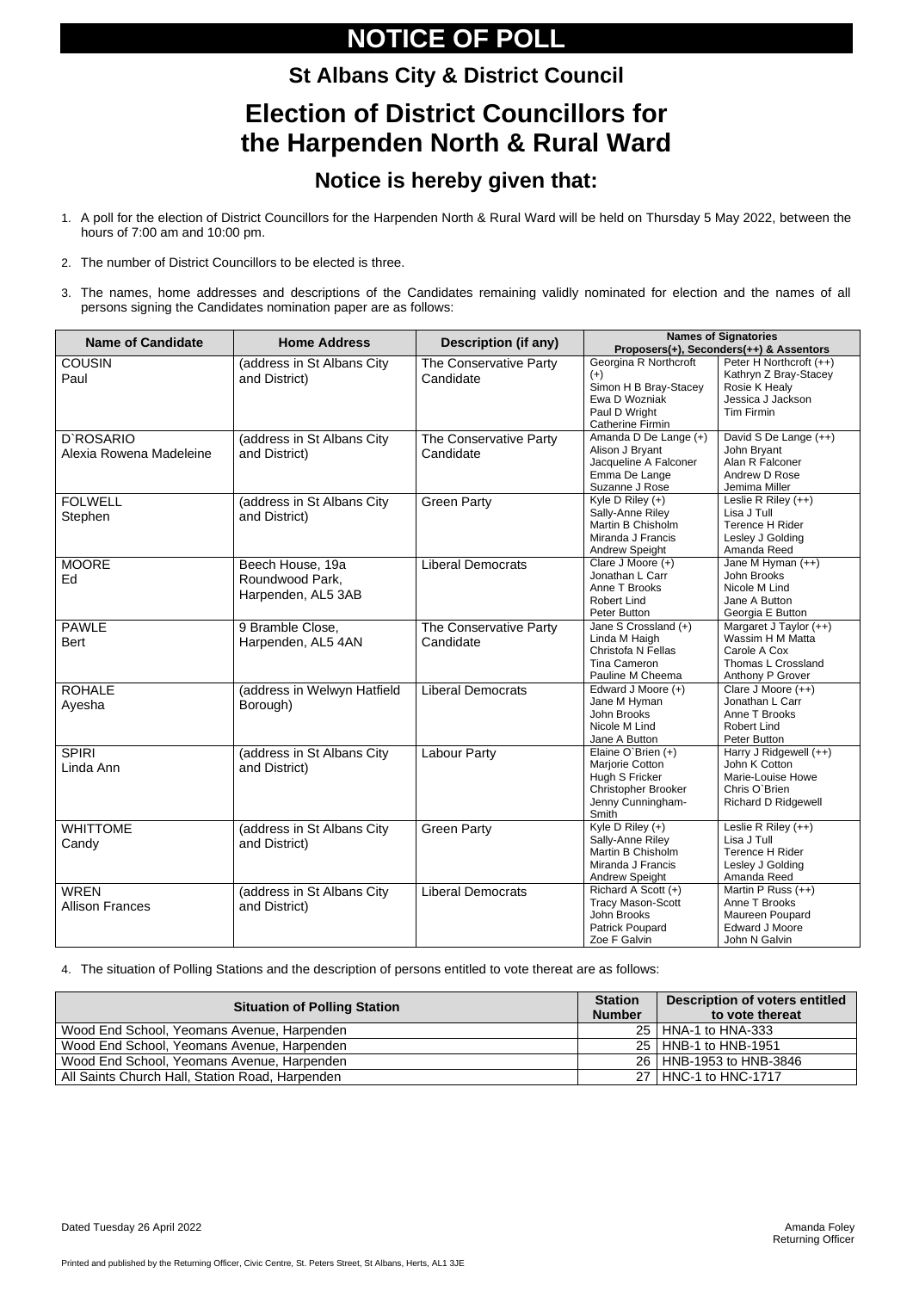Printed and published by the Returning Officer, Civic Centre, St. Peters Street, St Albans, Herts, AL1 3JE

# **NOTICE OF POLL**

### **St Albans City & District Council Election of District Councillors for the Harpenden North & Rural Ward**

### **Notice is hereby given that:**

- 1. A poll for the election of District Councillors for the Harpenden North & Rural Ward will be held on Thursday 5 May 2022, between the hours of 7:00 am and 10:00 pm.
- 2. The number of District Councillors to be elected is three.
- 3. The names, home addresses and descriptions of the Candidates remaining validly nominated for election and the names of all persons signing the Candidates nomination paper are as follows:

| <b>Name of Candidate</b>              | <b>Home Address</b>                                       | <b>Description (if any)</b>         | <b>Names of Signatories</b><br>Proposers(+), Seconders(++) & Assentors                                               |                                                                                                             |  |
|---------------------------------------|-----------------------------------------------------------|-------------------------------------|----------------------------------------------------------------------------------------------------------------------|-------------------------------------------------------------------------------------------------------------|--|
| <b>COUSIN</b><br>Paul                 | (address in St Albans City<br>and District)               | The Conservative Party<br>Candidate | Georgina R Northcroft<br>$(+)$<br>Simon H B Bray-Stacey<br>Ewa D Wozniak<br>Paul D Wright<br><b>Catherine Firmin</b> | Peter H Northcroft (++)<br>Kathryn Z Bray-Stacey<br>Rosie K Healy<br>Jessica J Jackson<br>Tim Firmin        |  |
| D'ROSARIO<br>Alexia Rowena Madeleine  | (address in St Albans City<br>and District)               | The Conservative Party<br>Candidate | Amanda D De Lange (+)<br>Alison J Bryant<br>Jacqueline A Falconer<br>Emma De Lange<br>Suzanne J Rose                 | David S De Lange (++)<br>John Bryant<br>Alan R Falconer<br>Andrew D Rose<br>Jemima Miller                   |  |
| <b>FOLWELL</b><br>Stephen             | (address in St Albans City<br>and District)               | <b>Green Party</b>                  | Kyle D Riley $(+)$<br>Sally-Anne Riley<br>Martin B Chisholm<br>Miranda J Francis<br>Andrew Speight                   | Leslie R Riley $(++)$<br>Lisa J Tull<br>Terence H Rider<br>Lesley J Golding<br>Amanda Reed                  |  |
| <b>MOORE</b><br>Ed                    | Beech House, 19a<br>Roundwood Park,<br>Harpenden, AL5 3AB | <b>Liberal Democrats</b>            | Clare J Moore (+)<br>Jonathan L Carr<br>Anne T Brooks<br><b>Robert Lind</b><br>Peter Button                          | Jane M Hyman (++)<br>John Brooks<br>Nicole M Lind<br>Jane A Button<br>Georgia E Button                      |  |
| <b>PAWLE</b><br><b>Bert</b>           | 9 Bramble Close,<br>Harpenden, AL5 4AN                    | The Conservative Party<br>Candidate | Jane S Crossland (+)<br>Linda M Haigh<br>Christofa N Fellas<br>Tina Cameron<br>Pauline M Cheema                      | Margaret J Taylor (++)<br>Wassim H M Matta<br>Carole A Cox<br>Thomas L Crossland<br>Anthony P Grover        |  |
| <b>ROHALE</b><br>Ayesha               | (address in Welwyn Hatfield<br>Borough)                   | <b>Liberal Democrats</b>            | Edward J Moore (+)<br>Jane M Hyman<br>John Brooks<br>Nicole M Lind<br>Jane A Button                                  | Clare J Moore (++)<br>Jonathan L Carr<br>Anne T Brooks<br><b>Robert Lind</b><br>Peter Button                |  |
| <b>SPIRI</b><br>Linda Ann             | (address in St Albans City<br>and District)               | <b>Labour Party</b>                 | Elaine O'Brien $(+)$<br>Marjorie Cotton<br>Hugh S Fricker<br>Christopher Brooker<br>Jenny Cunningham-<br>Smith       | Harry J Ridgewell (++)<br>John K Cotton<br>Marie-Louise Howe<br>Chris O'Brien<br><b>Richard D Ridgewell</b> |  |
| <b>WHITTOME</b><br>Candy              | (address in St Albans City<br>and District)               | <b>Green Party</b>                  | Kyle D Riley $(+)$<br>Sally-Anne Riley<br>Martin B Chisholm<br>Miranda J Francis<br>Andrew Speight                   | Leslie R Riley $(++)$<br>Lisa J Tull<br>Terence H Rider<br>Lesley J Golding<br>Amanda Reed                  |  |
| <b>WREN</b><br><b>Allison Frances</b> | (address in St Albans City<br>and District)               | <b>Liberal Democrats</b>            | Richard A Scott (+)<br><b>Tracy Mason-Scott</b><br>John Brooks<br>Patrick Poupard<br>Zoe F Galvin                    | Martin P Russ (++)<br>Anne T Brooks<br>Maureen Poupard<br><b>Edward J Moore</b><br>John N Galvin            |  |

4. The situation of Polling Stations and the description of persons entitled to vote thereat are as follows:

| <b>Situation of Polling Station</b>             | <b>Station</b><br><b>Number</b> | <b>Description of voters entitled</b><br>to vote thereat |
|-------------------------------------------------|---------------------------------|----------------------------------------------------------|
| Wood End School, Yeomans Avenue, Harpenden      | 25 <sub>1</sub>                 | HNA-1 to HNA-333                                         |
| Wood End School, Yeomans Avenue, Harpenden      |                                 | 25   HNB-1 to HNB-1951                                   |
| Wood End School, Yeomans Avenue, Harpenden      |                                 | 26   HNB-1953 to HNB-3846                                |
| All Saints Church Hall, Station Road, Harpenden | 27 <sup>1</sup>                 | <b>HNC-1 to HNC-1717</b>                                 |

Dated Tuesday 26 April 2022 Amanda Foley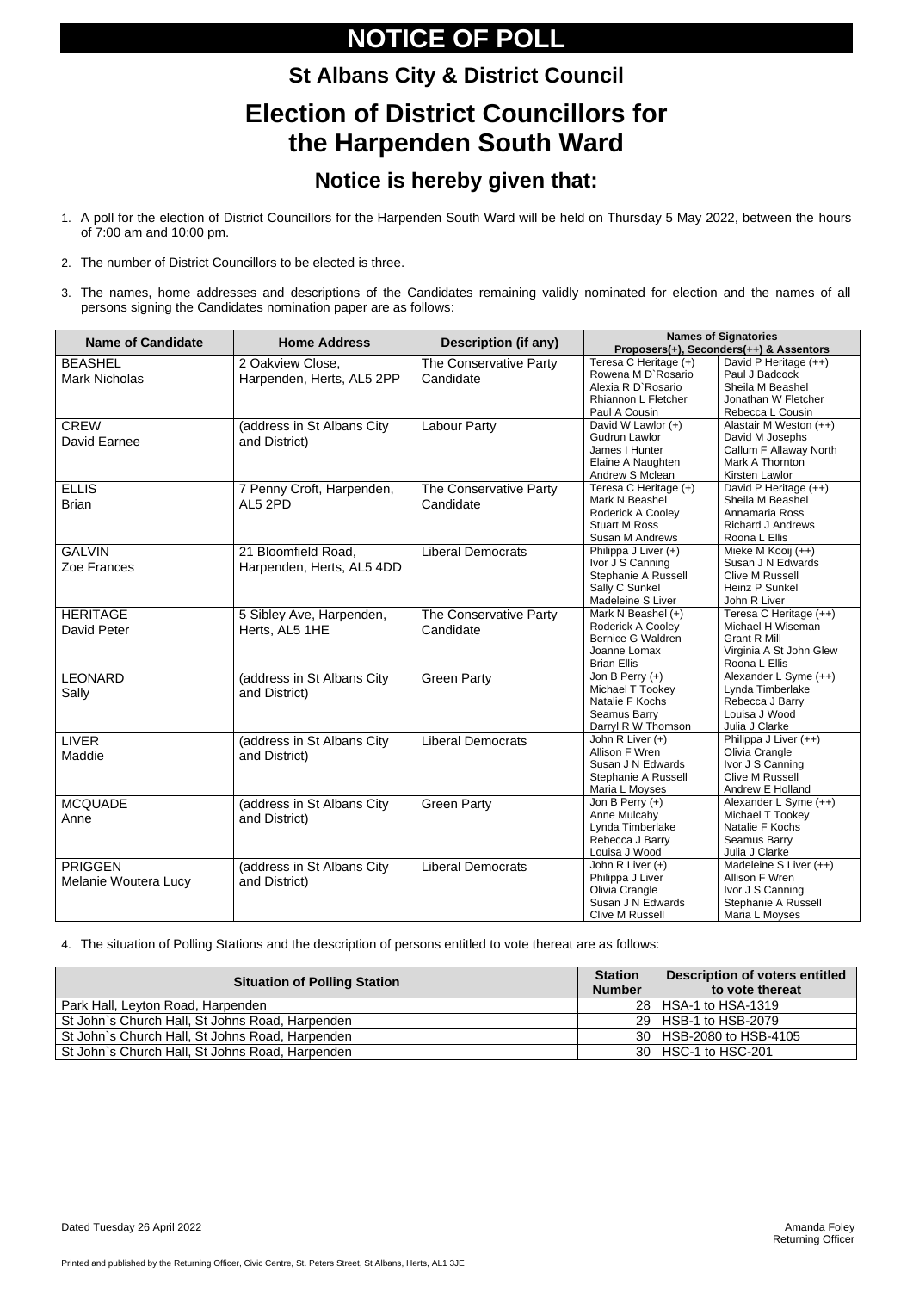Printed and published by the Returning Officer, Civic Centre, St. Peters Street, St Albans, Herts, AL1 3JE

# **NOTICE OF POLL**

# **St Albans City & District Council Election of District Councillors for the Harpenden South Ward**

### **Notice is hereby given that:**

- 1. A poll for the election of District Councillors for the Harpenden South Ward will be held on Thursday 5 May 2022, between the hours of 7:00 am and 10:00 pm.
- 2. The number of District Councillors to be elected is three.
- 3. The names, home addresses and descriptions of the Candidates remaining validly nominated for election and the names of all persons signing the Candidates nomination paper are as follows:

| <b>Name of Candidate</b>                      | <b>Home Address</b>                              | <b>Description (if any)</b>         | <b>Names of Signatories</b><br>Proposers(+), Seconders(++) & Assentors                                    |                                                                                                                |  |
|-----------------------------------------------|--------------------------------------------------|-------------------------------------|-----------------------------------------------------------------------------------------------------------|----------------------------------------------------------------------------------------------------------------|--|
| <b>BEASHEL</b><br><b>Mark Nicholas</b>        | 2 Oakview Close,<br>Harpenden, Herts, AL5 2PP    | The Conservative Party<br>Candidate | Teresa C Heritage (+)<br>Rowena M D'Rosario<br>Alexia R D'Rosario<br>Rhiannon L Fletcher<br>Paul A Cousin | David P Heritage (++)<br>Paul J Badcock<br>Sheila M Beashel<br>Jonathan W Fletcher<br>Rebecca L Cousin         |  |
| <b>CREW</b><br>David Earnee                   | (address in St Albans City)<br>and District)     | <b>Labour Party</b>                 | David W Lawlor (+)<br><b>Gudrun Lawlor</b><br>James I Hunter<br>Elaine A Naughten<br>Andrew S Mclean      | Alastair M Weston (++)<br>David M Josephs<br>Callum F Allaway North<br>Mark A Thornton<br>Kirsten Lawlor       |  |
| <b>ELLIS</b><br><b>Brian</b>                  | 7 Penny Croft, Harpenden,<br>AL5 2PD             | The Conservative Party<br>Candidate | Teresa C Heritage (+)<br>Mark N Beashel<br>Roderick A Cooley<br><b>Stuart M Ross</b><br>Susan M Andrews   | David P Heritage (++)<br>Sheila M Beashel<br>Annamaria Ross<br><b>Richard J Andrews</b><br>Roona L Ellis       |  |
| <b>GALVIN</b><br>Zoe Frances                  | 21 Bloomfield Road,<br>Harpenden, Herts, AL5 4DD | <b>Liberal Democrats</b>            | Philippa J Liver (+)<br>Ivor J S Canning<br>Stephanie A Russell<br>Sally C Sunkel<br>Madeleine S Liver    | Mieke M Kooij (++)<br>Susan J N Edwards<br><b>Clive M Russell</b><br>Heinz P Sunkel<br>John R Liver            |  |
| <b>HERITAGE</b><br><b>David Peter</b>         | 5 Sibley Ave, Harpenden,<br>Herts, AL5 1HE       | The Conservative Party<br>Candidate | Mark N Beashel (+)<br>Roderick A Cooley<br><b>Bernice G Waldren</b><br>Joanne Lomax<br><b>Brian Ellis</b> | Teresa C Heritage (++)<br>Michael H Wiseman<br><b>Grant R Mill</b><br>Virginia A St John Glew<br>Roona L Ellis |  |
| <b>LEONARD</b><br>Sally                       | (address in St Albans City<br>and District)      | <b>Green Party</b>                  | Jon B Perry $(+)$<br>Michael T Tookey<br>Natalie F Kochs<br>Seamus Barry<br>Darryl R W Thomson            | Alexander L Syme (++)<br>Lynda Timberlake<br>Rebecca J Barry<br>Louisa J Wood<br>Julia J Clarke                |  |
| <b>LIVER</b><br>Maddie                        | (address in St Albans City<br>and District)      | <b>Liberal Democrats</b>            | John R Liver (+)<br>Allison F Wren<br>Susan J N Edwards<br>Stephanie A Russell<br>Maria L Moyses          | Philippa J Liver (++)<br>Olivia Crangle<br>Ivor J S Canning<br>Clive M Russell<br>Andrew E Holland             |  |
| <b>MCQUADE</b><br>Anne                        | (address in St Albans City<br>and District)      | <b>Green Party</b>                  | Jon B Perry $(+)$<br>Anne Mulcahy<br>Lynda Timberlake<br>Rebecca J Barry<br>Louisa J Wood                 | Alexander L Syme (++)<br>Michael T Tookey<br>Natalie F Kochs<br>Seamus Barry<br>Julia J Clarke                 |  |
| <b>PRIGGEN</b><br><b>Melanie Woutera Lucy</b> | (address in St Albans City<br>and District)      | <b>Liberal Democrats</b>            | John R Liver (+)<br>Philippa J Liver<br>Olivia Crangle<br>Susan J N Edwards<br>Clive M Russell            | Madeleine S Liver (++)<br>Allison F Wren<br>Ivor J S Canning<br>Stephanie A Russell<br>Maria L Moyses          |  |

4. The situation of Polling Stations and the description of persons entitled to vote thereat are as follows:

| <b>Situation of Polling Station</b>             |  | <b>Description of voters entitled</b><br>to vote thereat |
|-------------------------------------------------|--|----------------------------------------------------------|
| Park Hall, Leyton Road, Harpenden               |  | 28   HSA-1 to HSA-1319                                   |
| St John's Church Hall, St Johns Road, Harpenden |  | 29   HSB-1 to HSB-2079                                   |
| St John's Church Hall, St Johns Road, Harpenden |  | 30   HSB-2080 to HSB-4105                                |
| St John's Church Hall, St Johns Road, Harpenden |  | 30   HSC-1 to HSC-201                                    |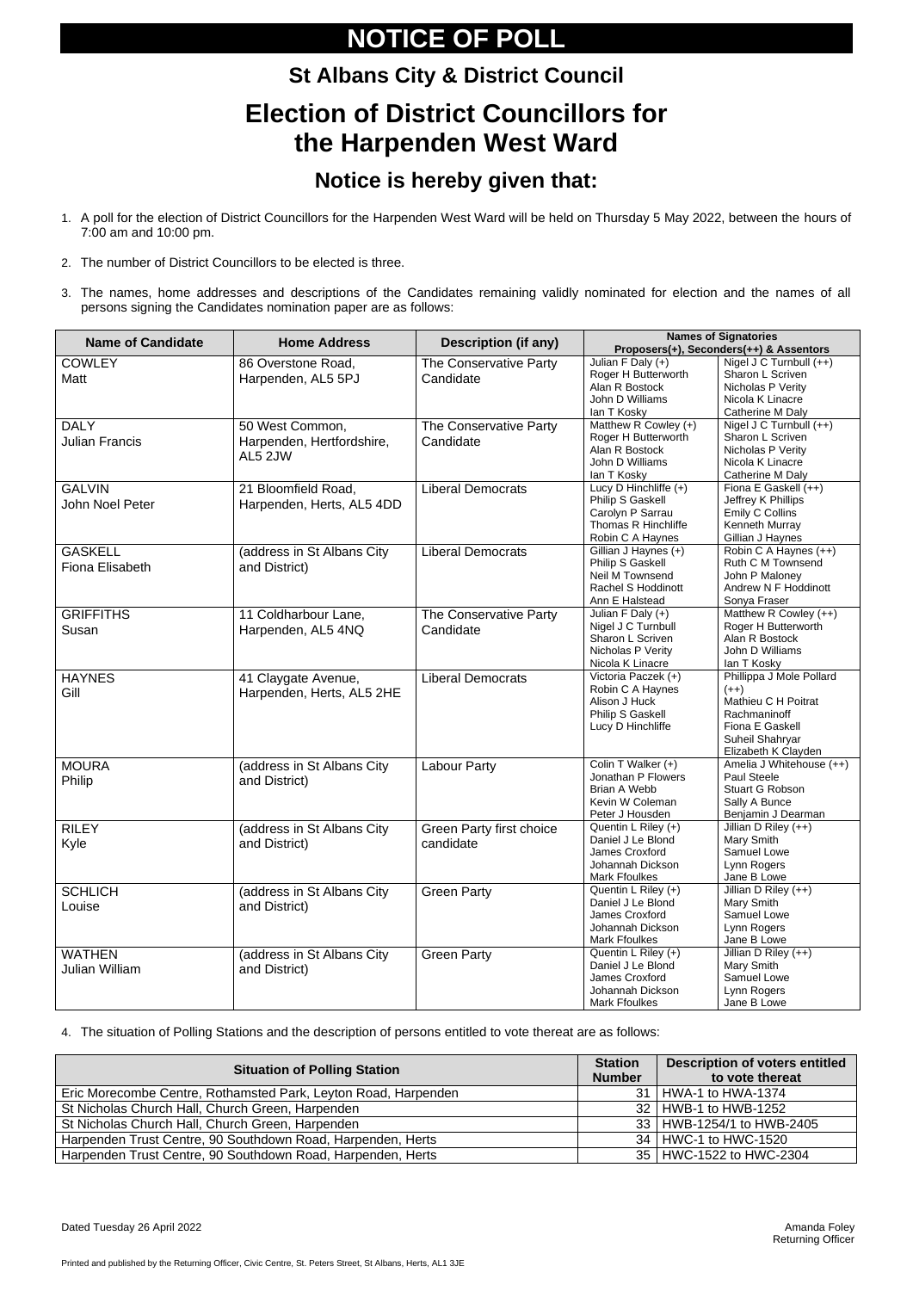# **NOTICE OF POLL**

# **St Albans City & District Council Election of District Councillors for the Harpenden West Ward**

### **Notice is hereby given that:**

- 1. A poll for the election of District Councillors for the Harpenden West Ward will be held on Thursday 5 May 2022, between the hours of 7:00 am and 10:00 pm.
- 2. The number of District Councillors to be elected is three.
- 3. The names, home addresses and descriptions of the Candidates remaining validly nominated for election and the names of all persons signing the Candidates nomination paper are as follows:

| <b>Name of Candidate</b>               | <b>Home Address</b>                                     | <b>Description (if any)</b>           | <b>Names of Signatories</b><br>Proposers(+), Seconders(++) & Assentors                                   |                                                                                                                                        |  |
|----------------------------------------|---------------------------------------------------------|---------------------------------------|----------------------------------------------------------------------------------------------------------|----------------------------------------------------------------------------------------------------------------------------------------|--|
| <b>COWLEY</b><br>Matt                  | 86 Overstone Road,<br>Harpenden, AL5 5PJ                | The Conservative Party<br>Candidate   | Julian F Daly $(+)$<br>Roger H Butterworth<br>Alan R Bostock<br>John D Williams<br>lan T Kosky           | Nigel J C Turnbull (++)<br>Sharon L Scriven<br>Nicholas P Verity<br>Nicola K Linacre<br>Catherine M Daly                               |  |
| <b>DALY</b><br><b>Julian Francis</b>   | 50 West Common,<br>Harpenden, Hertfordshire,<br>AL5 2JW | The Conservative Party<br>Candidate   | Matthew R Cowley (+)<br>Roger H Butterworth<br>Alan R Bostock<br>John D Williams<br>lan T Kosky          | Nigel J C Turnbull (++)<br>Sharon L Scriven<br>Nicholas P Verity<br>Nicola K Linacre<br>Catherine M Daly                               |  |
| <b>GALVIN</b><br>John Noel Peter       | 21 Bloomfield Road,<br>Harpenden, Herts, AL5 4DD        | <b>Liberal Democrats</b>              | Lucy D Hinchliffe (+)<br>Philip S Gaskell<br>Carolyn P Sarrau<br>Thomas R Hinchliffe<br>Robin C A Haynes | Fiona E Gaskell (++)<br>Jeffrey K Phillips<br><b>Emily C Collins</b><br>Kenneth Murray<br>Gillian J Haynes                             |  |
| <b>GASKELL</b><br>Fiona Elisabeth      | (address in St Albans City<br>and District)             | <b>Liberal Democrats</b>              | Gillian J Haynes (+)<br>Philip S Gaskell<br>Neil M Townsend<br>Rachel S Hoddinott<br>Ann E Halstead      | Robin C A Haynes (++)<br>Ruth C M Townsend<br>John P Maloney<br>Andrew N F Hoddinott<br>Sonya Fraser                                   |  |
| <b>GRIFFITHS</b><br>Susan              | 11 Coldharbour Lane,<br>Harpenden, AL5 4NQ              | The Conservative Party<br>Candidate   | Julian F Daly (+)<br>Nigel J C Turnbull<br>Sharon L Scriven<br>Nicholas P Verity<br>Nicola K Linacre     | Matthew R Cowley (++)<br>Roger H Butterworth<br>Alan R Bostock<br>John D Williams<br>lan T Kosky                                       |  |
| <b>HAYNES</b><br>Gill                  | 41 Claygate Avenue,<br>Harpenden, Herts, AL5 2HE        | <b>Liberal Democrats</b>              | Victoria Paczek (+)<br>Robin C A Haynes<br>Alison J Huck<br>Philip S Gaskell<br>Lucy D Hinchliffe        | Phillippa J Mole Pollard<br>$(++)$<br>Mathieu C H Poitrat<br>Rachmaninoff<br>Fiona E Gaskell<br>Suheil Shahryar<br>Elizabeth K Clayden |  |
| <b>MOURA</b><br>Philip                 | (address in St Albans City<br>and District)             | <b>Labour Party</b>                   | Colin T Walker (+)<br>Jonathan P Flowers<br><b>Brian A Webb</b><br>Kevin W Coleman<br>Peter J Housden    | Amelia J Whitehouse (++)<br>Paul Steele<br>Stuart G Robson<br>Sally A Bunce<br>Benjamin J Dearman                                      |  |
| <b>RILEY</b><br>Kyle                   | (address in St Albans City)<br>and District)            | Green Party first choice<br>candidate | Quentin L Riley (+)<br>Daniel J Le Blond<br>James Croxford<br>Johannah Dickson<br><b>Mark Ffoulkes</b>   | Jillian D Riley $(++)$<br>Mary Smith<br>Samuel Lowe<br>Lynn Rogers<br>Jane B Lowe                                                      |  |
| <b>SCHLICH</b><br>Louise               | (address in St Albans City<br>and District)             | <b>Green Party</b>                    | Quentin L Riley (+)<br>Daniel J Le Blond<br>James Croxford<br>Johannah Dickson<br><b>Mark Ffoulkes</b>   | Jillian D Riley (++)<br>Mary Smith<br>Samuel Lowe<br>Lynn Rogers<br>Jane B Lowe                                                        |  |
| <b>WATHEN</b><br><b>Julian William</b> | (address in St Albans City<br>and District)             | <b>Green Party</b>                    | Quentin L Riley (+)<br>Daniel J Le Blond<br>James Croxford<br>Johannah Dickson<br><b>Mark Ffoulkes</b>   | Jillian D Riley $(++)$<br>Mary Smith<br>Samuel Lowe<br>Lynn Rogers<br>Jane B Lowe                                                      |  |

4. The situation of Polling Stations and the description of persons entitled to vote thereat are as follows:

| <b>Situation of Polling Station</b>                            | <b>Station</b><br><b>Number</b> | <b>Description of voters entitled</b><br>to vote thereat |
|----------------------------------------------------------------|---------------------------------|----------------------------------------------------------|
| Eric Morecombe Centre, Rothamsted Park, Leyton Road, Harpenden | 31                              | HWA-1 to HWA-1374                                        |
| St Nicholas Church Hall, Church Green, Harpenden               |                                 | 32 HWB-1 to HWB-1252                                     |
| St Nicholas Church Hall, Church Green, Harpenden               |                                 | 33 HWB-1254/1 to HWB-2405                                |
| Harpenden Trust Centre, 90 Southdown Road, Harpenden, Herts    |                                 | 34   HWC-1 to HWC-1520                                   |
| Harpenden Trust Centre, 90 Southdown Road, Harpenden, Herts    |                                 | 35   HWC-1522 to HWC-2304                                |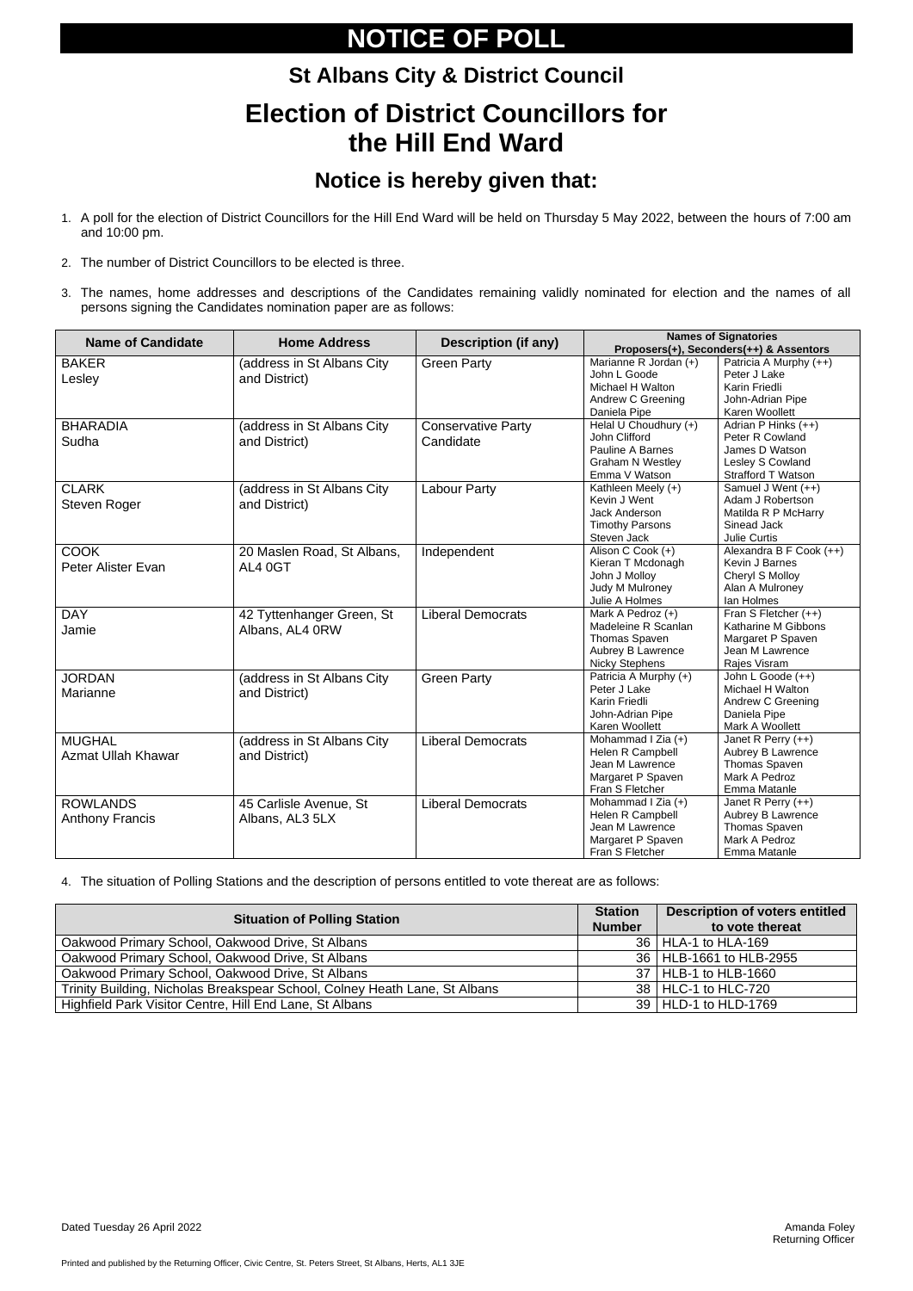Printed and published by the Returning Officer, Civic Centre, St. Peters Street, St Albans, Herts, AL1 3JE

# **NOTICE OF POLL**

# **St Albans City & District Council Election of District Councillors for the Hill End Ward**

### **Notice is hereby given that:**

- 1. A poll for the election of District Councillors for the Hill End Ward will be held on Thursday 5 May 2022, between the hours of 7:00 am and 10:00 pm.
- 2. The number of District Councillors to be elected is three.
- 3. The names, home addresses and descriptions of the Candidates remaining validly nominated for election and the names of all persons signing the Candidates nomination paper are as follows:

| <b>Name of Candidate</b>                   | <b>Home Address</b>                          | <b>Description (if any)</b>            | <b>Names of Signatories</b><br>Proposers(+), Seconders(++) & Assentors                                        |                                                                                                                    |  |
|--------------------------------------------|----------------------------------------------|----------------------------------------|---------------------------------------------------------------------------------------------------------------|--------------------------------------------------------------------------------------------------------------------|--|
| <b>BAKER</b><br>Lesley                     | (address in St Albans City<br>and District)  | <b>Green Party</b>                     | Marianne R Jordan (+)<br>John L Goode<br>Michael H Walton<br>Andrew C Greening                                | Patricia A Murphy (++)<br>Peter J Lake<br>Karin Friedli<br>John-Adrian Pipe                                        |  |
| <b>BHARADIA</b><br>Sudha                   | (address in St Albans City<br>and District)  | <b>Conservative Party</b><br>Candidate | Daniela Pipe<br>Helal U Choudhury (+)<br>John Clifford<br>Pauline A Barnes<br><b>Graham N Westley</b>         | Karen Woollett<br>Adrian P Hinks (++)<br>Peter R Cowland<br>James D Watson<br>Lesley S Cowland                     |  |
| <b>CLARK</b><br>Steven Roger               | (address in St Albans City<br>and District)  | <b>Labour Party</b>                    | Emma V Watson<br>Kathleen Meely (+)<br>Kevin J Went<br>Jack Anderson<br><b>Timothy Parsons</b><br>Steven Jack | Strafford T Watson<br>Samuel J Went (++)<br>Adam J Robertson<br>Matilda R P McHarry<br>Sinead Jack<br>Julie Curtis |  |
| <b>COOK</b><br>Peter Alister Evan          | 20 Maslen Road, St Albans,<br>AL4 0GT        | Independent                            | Alison C Cook (+)<br>Kieran T Mcdonagh<br>John J Molloy<br>Judy M Mulroney<br>Julie A Holmes                  | Alexandra B F Cook (++)<br>Kevin J Barnes<br>Cheryl S Molloy<br>Alan A Mulroney<br>lan Holmes                      |  |
| <b>DAY</b><br>Jamie                        | 42 Tyttenhanger Green, St<br>Albans, AL4 0RW | <b>Liberal Democrats</b>               | Mark A Pedroz (+)<br>Madeleine R Scanlan<br>Thomas Spaven<br>Aubrey B Lawrence<br><b>Nicky Stephens</b>       | Fran S Fletcher (++)<br>Katharine M Gibbons<br>Margaret P Spaven<br>Jean M Lawrence<br>Rajes Visram                |  |
| <b>JORDAN</b><br>Marianne                  | (address in St Albans City<br>and District)  | <b>Green Party</b>                     | Patricia A Murphy (+)<br>Peter J Lake<br>Karin Friedli<br>John-Adrian Pipe<br>Karen Woollett                  | John L Goode (++)<br>Michael H Walton<br>Andrew C Greening<br>Daniela Pipe<br>Mark A Woollett                      |  |
| <b>MUGHAL</b><br><b>Azmat Ullah Khawar</b> | (address in St Albans City<br>and District)  | <b>Liberal Democrats</b>               | Mohammad I Zia (+)<br>Helen R Campbell<br>Jean M Lawrence<br>Margaret P Spaven<br>Fran S Fletcher             | Janet R Perry (++)<br>Aubrey B Lawrence<br>Thomas Spaven<br>Mark A Pedroz<br>Emma Matanle                          |  |
| <b>ROWLANDS</b><br><b>Anthony Francis</b>  | 45 Carlisle Avenue, St<br>Albans, AL3 5LX    | <b>Liberal Democrats</b>               | Mohammad I Zia (+)<br>Helen R Campbell<br>Jean M Lawrence<br>Margaret P Spaven<br>Fran S Fletcher             | Janet R Perry $(++)$<br>Aubrey B Lawrence<br>Thomas Spaven<br>Mark A Pedroz<br>Emma Matanle                        |  |

4. The situation of Polling Stations and the description of persons entitled to vote thereat are as follows:

| <b>Situation of Polling Station</b>                                        |  | <b>Description of voters entitled</b> |
|----------------------------------------------------------------------------|--|---------------------------------------|
|                                                                            |  | to vote thereat                       |
| Oakwood Primary School, Oakwood Drive, St Albans                           |  | 36   HLA-1 to HLA-169                 |
| Oakwood Primary School, Oakwood Drive, St Albans                           |  | 36   HLB-1661 to HLB-2955             |
| Oakwood Primary School, Oakwood Drive, St Albans                           |  | 37   HLB-1 to HLB-1660                |
| Trinity Building, Nicholas Breakspear School, Colney Heath Lane, St Albans |  | 38   HLC-1 to HLC-720                 |
| Highfield Park Visitor Centre, Hill End Lane, St Albans                    |  | 39   HLD-1 to HLD-1769                |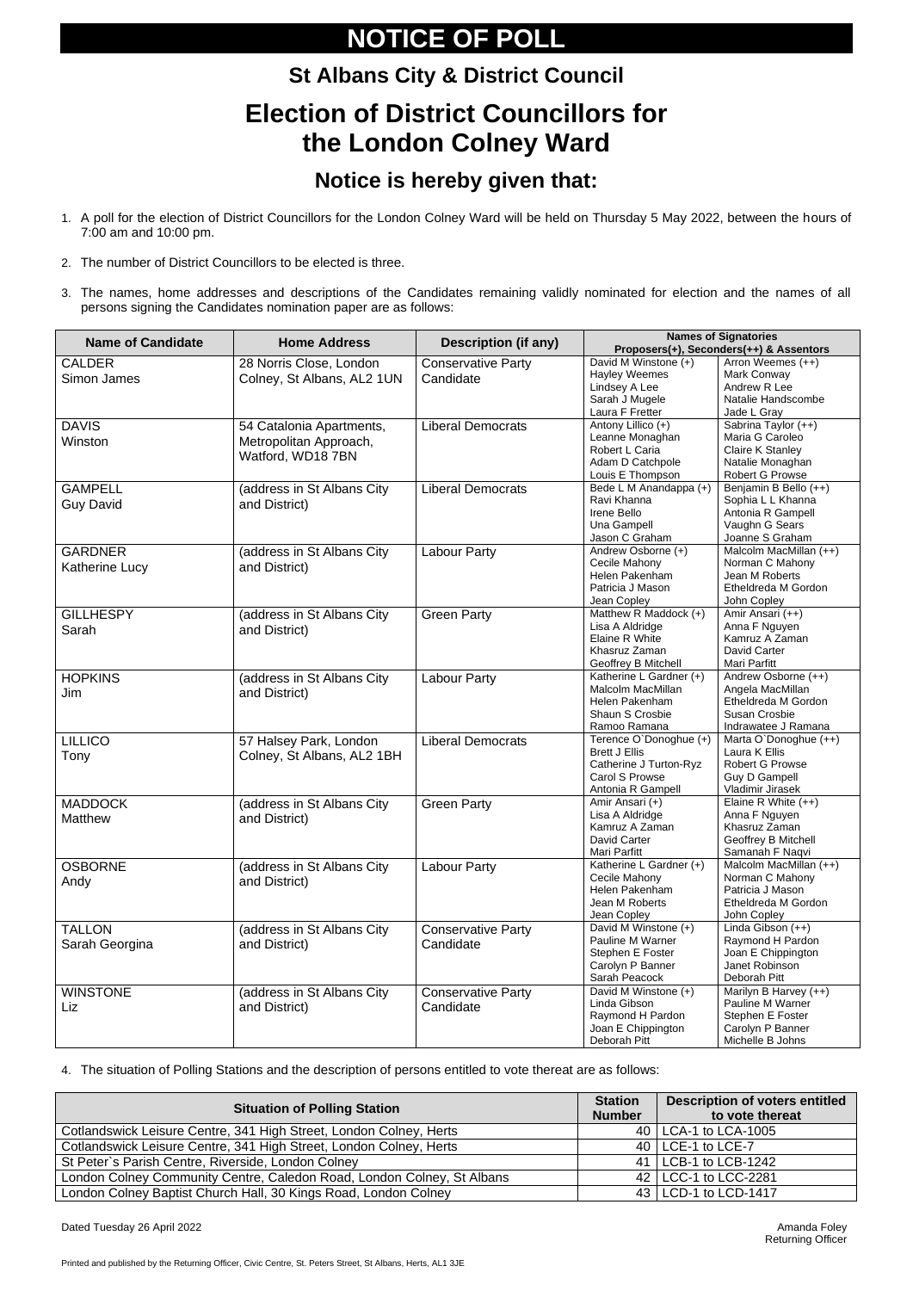Printed and published by the Returning Officer, Civic Centre, St. Peters Street, St Albans, Herts, AL1 3JE

# **NOTICE OF POLL**

# **St Albans City & District Council Election of District Councillors for the London Colney Ward**

### **Notice is hereby given that:**

- 1. A poll for the election of District Councillors for the London Colney Ward will be held on Thursday 5 May 2022, between the hours of 7:00 am and 10:00 pm.
- 2. The number of District Councillors to be elected is three.
- 3. The names, home addresses and descriptions of the Candidates remaining validly nominated for election and the names of all persons signing the Candidates nomination paper are as follows:

| <b>Name of Candidate</b>                | <b>Home Address</b>                                                     | <b>Description (if any)</b>            | <b>Names of Signatories</b><br>Proposers(+), Seconders(++) & Assentors                                                                                                                             |                                                                                                        |  |
|-----------------------------------------|-------------------------------------------------------------------------|----------------------------------------|----------------------------------------------------------------------------------------------------------------------------------------------------------------------------------------------------|--------------------------------------------------------------------------------------------------------|--|
| <b>CALDER</b><br>Simon James            | 28 Norris Close, London<br>Colney, St Albans, AL2 1UN                   | <b>Conservative Party</b><br>Candidate | David M Winstone (+)<br><b>Hayley Weemes</b><br>Lindsey A Lee<br>Sarah J Mugele<br>Laura F Fretter                                                                                                 | Arron Weemes (++)<br>Mark Conway<br>Andrew R Lee<br>Natalie Handscombe<br>Jade L Gray                  |  |
| <b>DAVIS</b><br>Winston                 | 54 Catalonia Apartments,<br>Metropolitan Approach,<br>Watford, WD18 7BN | <b>Liberal Democrats</b>               | Antony Lillico (+)<br>Leanne Monaghan<br>Robert L Caria<br>Adam D Catchpole<br>Louis E Thompson                                                                                                    | Sabrina Taylor (++)<br>Maria G Caroleo<br>Claire K Stanley<br>Natalie Monaghan<br>Robert G Prowse      |  |
| <b>GAMPELL</b><br><b>Guy David</b>      | (address in St Albans City<br>and District)                             | <b>Liberal Democrats</b>               | Bede L M Anandappa (+)<br>Ravi Khanna<br>Irene Bello<br>Una Gampell<br>Jason C Graham                                                                                                              | Benjamin B Bello (++)<br>Sophia L L Khanna<br>Antonia R Gampell<br>Vaughn G Sears<br>Joanne S Graham   |  |
| <b>GARDNER</b><br><b>Katherine Lucy</b> | (address in St Albans City<br>and District)                             | <b>Labour Party</b>                    | Andrew Osborne (+)<br>Cecile Mahony<br>Helen Pakenham<br>Patricia J Mason<br>Jean Copley                                                                                                           | Malcolm MacMillan (++)<br>Norman C Mahony<br>Jean M Roberts<br>Etheldreda M Gordon<br>John Copley      |  |
| <b>GILLHESPY</b><br>Sarah               | (address in St Albans City<br>and District)                             | <b>Green Party</b>                     | Matthew R Maddock (+)<br>Lisa A Aldridge<br>Elaine R White<br>Khasruz Zaman<br>Geoffrey B Mitchell                                                                                                 | Amir Ansari (++)<br>Anna F Nguyen<br>Kamruz A Zaman<br>David Carter<br>Mari Parfitt                    |  |
| <b>HOPKINS</b><br>Jim                   | (address in St Albans City<br>and District)                             | <b>Labour Party</b>                    | Katherine L Gardner (+)<br>Malcolm MacMillan<br>Helen Pakenham<br>Shaun S Crosbie<br>Ramoo Ramana                                                                                                  | Andrew Osborne (++)<br>Angela MacMillan<br>Etheldreda M Gordon<br>Susan Crosbie<br>Indrawatee J Ramana |  |
| <b>LILLICO</b><br>Tony                  | 57 Halsey Park, London<br>Colney, St Albans, AL2 1BH                    | <b>Liberal Democrats</b>               | Terence O'Donoghue (+)<br><b>Brett J Ellis</b><br>Catherine J Turton-Ryz<br>Carol S Prowse<br>Antonia R Gampell                                                                                    | Marta O'Donoghue (++)<br>Laura K Ellis<br>Robert G Prowse<br><b>Guy D Gampell</b><br>Vladimir Jirasek  |  |
| <b>MADDOCK</b><br><b>Matthew</b>        | (address in St Albans City<br>and District)                             | <b>Green Party</b>                     | Amir Ansari (+)<br>Lisa A Aldridge<br>Kamruz A Zaman<br>David Carter<br>Mari Parfitt                                                                                                               | Elaine R White $(++)$<br>Anna F Nguyen<br>Khasruz Zaman<br>Geoffrey B Mitchell<br>Samanah F Naqvi      |  |
| <b>OSBORNE</b><br>Andy                  | (address in St Albans City<br>and District)                             | <b>Labour Party</b>                    | Katherine L Gardner (+)<br>Cecile Mahony<br>Helen Pakenham<br>Jean M Roberts<br>Jean Copley                                                                                                        | Malcolm MacMillan (++)<br>Norman C Mahony<br>Patricia J Mason<br>Etheldreda M Gordon<br>John Copley    |  |
| <b>TALLON</b><br>Sarah Georgina         | (address in St Albans City<br>and District)                             | <b>Conservative Party</b><br>Candidate | David M Winstone (+)<br>Linda Gibson (++)<br>Raymond H Pardon<br>Pauline M Warner<br>Joan E Chippington<br>Stephen E Foster<br>Janet Robinson<br>Carolyn P Banner<br>Sarah Peacock<br>Deborah Pitt |                                                                                                        |  |
| <b>WINSTONE</b><br>Liz                  | (address in St Albans City<br>and District)                             | <b>Conservative Party</b><br>Candidate | David M Winstone (+)<br>Linda Gibson<br>Raymond H Pardon<br>Joan E Chippington<br>Deborah Pitt                                                                                                     | Marilyn B Harvey (++)<br>Pauline M Warner<br>Stephen E Foster<br>Carolyn P Banner<br>Michelle B Johns  |  |

4. The situation of Polling Stations and the description of persons entitled to vote thereat are as follows:

| <b>Situation of Polling Station</b>                                    | <b>Station</b><br><b>Number</b> | <b>Description of voters entitled</b><br>to vote thereat |
|------------------------------------------------------------------------|---------------------------------|----------------------------------------------------------|
| Cotlandswick Leisure Centre, 341 High Street, London Colney, Herts     |                                 | 40   LCA-1 to LCA-1005                                   |
| Cotlandswick Leisure Centre, 341 High Street, London Colney, Herts     |                                 | 40   LCE-1 to LCE-7                                      |
| St Peter's Parish Centre, Riverside, London Colney                     |                                 | 41   LCB-1 to LCB-1242                                   |
| London Colney Community Centre, Caledon Road, London Colney, St Albans |                                 | 42   LCC-1 to LCC-2281                                   |
| London Colney Baptist Church Hall, 30 Kings Road, London Colney        |                                 | 43   LCD-1 to LCD-1417                                   |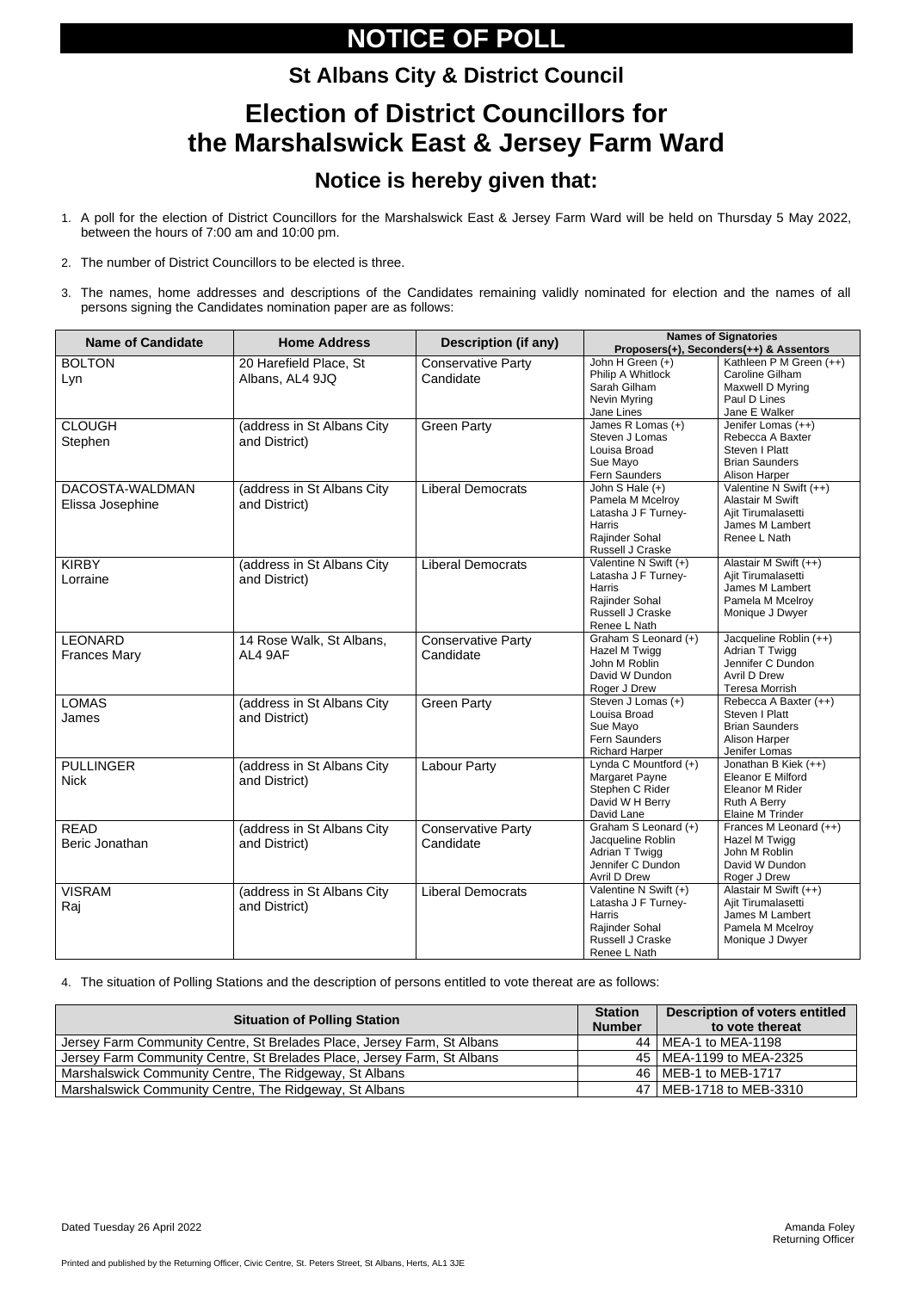Printed and published by the Returning Officer, Civic Centre, St. Peters Street, St Albans, Herts, AL1 3JE

# **NOTICE OF POLL**

# **St Albans City & District Council Election of District Councillors for the Marshalswick East & Jersey Farm Ward**

### **Notice is hereby given that:**

- 1. A poll for the election of District Councillors for the Marshalswick East & Jersey Farm Ward will be held on Thursday 5 May 2022, between the hours of 7:00 am and 10:00 pm.
- 2. The number of District Councillors to be elected is three.
- 3. The names, home addresses and descriptions of the Candidates remaining validly nominated for election and the names of all persons signing the Candidates nomination paper are as follows:

| <b>Name of Candidate</b>              | <b>Home Address</b>                         | <b>Description (if any)</b>            | <b>Names of Signatories</b><br>Proposers(+), Seconders(++) & Assentors                                              |                                                                                                            |  |
|---------------------------------------|---------------------------------------------|----------------------------------------|---------------------------------------------------------------------------------------------------------------------|------------------------------------------------------------------------------------------------------------|--|
| <b>BOLTON</b><br>Lyn                  | 20 Harefield Place, St<br>Albans, AL4 9JQ   | <b>Conservative Party</b><br>Candidate | John H Green (+)<br>Philip A Whitlock<br>Sarah Gilham<br>Nevin Myring<br>Jane Lines                                 | Kathleen P M Green (++)<br>Caroline Gilham<br>Maxwell D Myring<br>Paul D Lines<br>Jane E Walker            |  |
| <b>CLOUGH</b><br>Stephen              | (address in St Albans City<br>and District) | <b>Green Party</b>                     | James R Lomas (+)<br>Steven J Lomas<br>Louisa Broad<br>Sue Mayo<br>Fern Saunders                                    | Jenifer Lomas (++)<br>Rebecca A Baxter<br>Steven I Platt<br><b>Brian Saunders</b><br>Alison Harper         |  |
| DACOSTA-WALDMAN<br>Elissa Josephine   | (address in St Albans City<br>and District) | <b>Liberal Democrats</b>               | John S Hale $(+)$<br>Pamela M Mcelroy<br>Latasha J F Turney-<br><b>Harris</b><br>Rajinder Sohal<br>Russell J Craske | Valentine N Swift (++)<br><b>Alastair M Swift</b><br>Ajit Tirumalasetti<br>James M Lambert<br>Renee L Nath |  |
| <b>KIRBY</b><br>Lorraine              | (address in St Albans City<br>and District) | <b>Liberal Democrats</b>               | Valentine N Swift (+)<br>Latasha J F Turney-<br>Harris<br>Rajinder Sohal<br>Russell J Craske<br>Renee L Nath        | Alastair M Swift (++)<br>Ajit Tirumalasetti<br>James M Lambert<br>Pamela M Mcelroy<br>Monique J Dwyer      |  |
| <b>LEONARD</b><br><b>Frances Mary</b> | 14 Rose Walk, St Albans,<br>AL4 9AF         | <b>Conservative Party</b><br>Candidate | Graham S Leonard (+)<br>Hazel M Twigg<br>John M Roblin<br>David W Dundon<br>Roger J Drew                            | Jacqueline Roblin (++)<br>Adrian T Twigg<br>Jennifer C Dundon<br>Avril D Drew<br><b>Teresa Morrish</b>     |  |
| <b>LOMAS</b><br>James                 | (address in St Albans City<br>and District) | <b>Green Party</b>                     | Steven J Lomas (+)<br>Louisa Broad<br>Sue Mayo<br>Fern Saunders<br><b>Richard Harper</b>                            | Rebecca A Baxter (++)<br>Steven I Platt<br><b>Brian Saunders</b><br>Alison Harper<br>Jenifer Lomas         |  |
| <b>PULLINGER</b><br><b>Nick</b>       | (address in St Albans City<br>and District) | <b>Labour Party</b>                    | Lynda C Mountford (+)<br>Margaret Payne<br>Stephen C Rider<br>David W H Berry<br>David Lane                         | Jonathan B Kiek (++)<br><b>Eleanor E Milford</b><br>Eleanor M Rider<br>Ruth A Berry<br>Elaine M Trinder    |  |
| <b>READ</b><br>Beric Jonathan         | (address in St Albans City<br>and District) | <b>Conservative Party</b><br>Candidate | Graham S Leonard (+)<br>Jacqueline Roblin<br>Adrian T Twigg<br>Jennifer C Dundon<br>Avril D Drew                    | Frances M Leonard (++)<br>Hazel M Twigg<br>John M Roblin<br>David W Dundon<br>Roger J Drew                 |  |
| <b>VISRAM</b><br>Raj                  | (address in St Albans City<br>and District) | <b>Liberal Democrats</b>               | Valentine N Swift (+)<br>Latasha J F Turney-<br>Harris<br>Rajinder Sohal<br>Russell J Craske<br>Renee L Nath        | Alastair M Swift (++)<br>Ajit Tirumalasetti<br>James M Lambert<br>Pamela M Mcelroy<br>Monique J Dwyer      |  |

4. The situation of Polling Stations and the description of persons entitled to vote thereat are as follows:

| <b>Situation of Polling Station</b>                                     |  | <b>Description of voters entitled</b><br>to vote thereat |
|-------------------------------------------------------------------------|--|----------------------------------------------------------|
| Jersey Farm Community Centre, St Brelades Place, Jersey Farm, St Albans |  | 44   MEA-1 to MEA-1198                                   |
| Jersey Farm Community Centre, St Brelades Place, Jersey Farm, St Albans |  | 45   MEA-1199 to MEA-2325                                |
| Marshalswick Community Centre, The Ridgeway, St Albans                  |  | 46   MEB-1 to MEB-1717                                   |
| Marshalswick Community Centre, The Ridgeway, St Albans                  |  | 47   MEB-1718 to MEB-3310                                |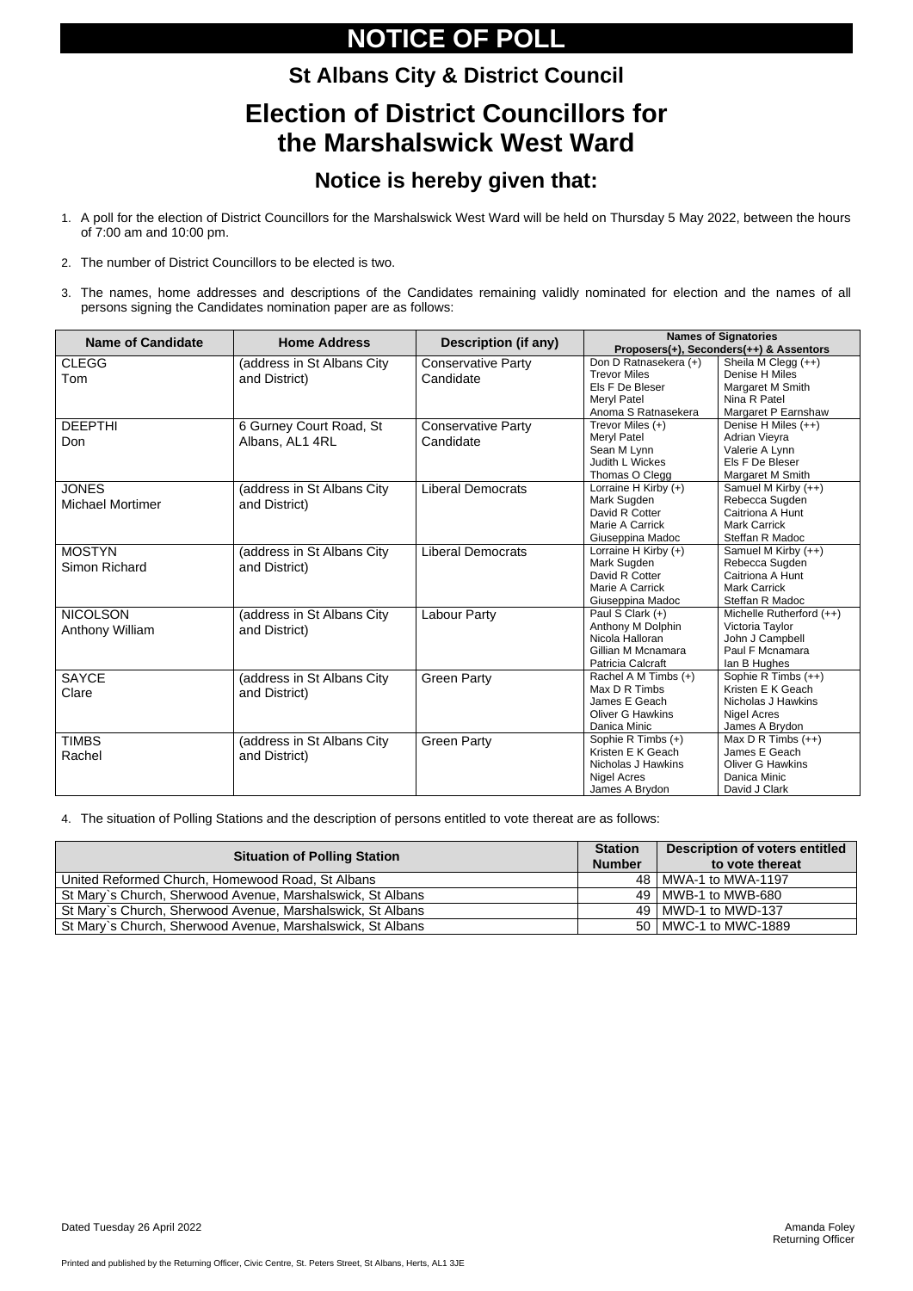Printed and published by the Returning Officer, Civic Centre, St. Peters Street, St Albans, Herts, AL1 3JE

# **NOTICE OF POLL**

# **St Albans City & District Council Election of District Councillors for**

# **the Marshalswick West Ward**

### **Notice is hereby given that:**

- 1. A poll for the election of District Councillors for the Marshalswick West Ward will be held on Thursday 5 May 2022, between the hours of 7:00 am and 10:00 pm.
- 2. The number of District Councillors to be elected is two.
- 3. The names, home addresses and descriptions of the Candidates remaining validly nominated for election and the names of all persons signing the Candidates nomination paper are as follows:

| <b>Name of Candidate</b> | <b>Home Address</b>         | <b>Description (if any)</b> | <b>Names of Signatories</b> |                                         |
|--------------------------|-----------------------------|-----------------------------|-----------------------------|-----------------------------------------|
|                          |                             |                             |                             | Proposers(+), Seconders(++) & Assentors |
| <b>CLEGG</b>             | (address in St Albans City  | <b>Conservative Party</b>   | Don D Ratnasekera (+)       | Sheila M Clegg (++)                     |
| Tom                      | and District)               | Candidate                   | <b>Trevor Miles</b>         | Denise H Miles                          |
|                          |                             |                             | Els F De Bleser             | Margaret M Smith                        |
|                          |                             |                             | <b>Meryl Patel</b>          | Nina R Patel                            |
|                          |                             |                             | Anoma S Ratnasekera         | Margaret P Earnshaw                     |
| <b>DEEPTHI</b>           | 6 Gurney Court Road, St     | <b>Conservative Party</b>   | Trevor Miles (+)            | Denise H Miles (++)                     |
| Don                      | Albans, AL1 4RL             | Candidate                   | Meryl Patel                 | Adrian Vieyra                           |
|                          |                             |                             | Sean M Lynn                 | Valerie A Lynn                          |
|                          |                             |                             | Judith L Wickes             | Els F De Bleser                         |
|                          |                             |                             | Thomas O Clegg              | Margaret M Smith                        |
| <b>JONES</b>             | (address in St Albans City  | <b>Liberal Democrats</b>    | Lorraine H Kirby (+)        | Samuel M Kirby (++)                     |
| <b>Michael Mortimer</b>  | and District)               |                             | Mark Sugden                 | Rebecca Sugden                          |
|                          |                             |                             | David R Cotter              | Caitriona A Hunt                        |
|                          |                             |                             | Marie A Carrick             | <b>Mark Carrick</b>                     |
|                          |                             |                             | Giuseppina Madoc            | Steffan R Madoc                         |
| <b>MOSTYN</b>            | (address in St Albans City  | <b>Liberal Democrats</b>    | Lorraine H Kirby (+)        | Samuel M Kirby $(++)$                   |
| <b>Simon Richard</b>     | and District)               |                             | Mark Sugden                 | Rebecca Sugden                          |
|                          |                             |                             | David R Cotter              | Caitriona A Hunt                        |
|                          |                             |                             | Marie A Carrick             | <b>Mark Carrick</b>                     |
|                          |                             |                             | Giuseppina Madoc            | Steffan R Madoc                         |
| <b>NICOLSON</b>          | (address in St Albans City  | <b>Labour Party</b>         | Paul S Clark (+)            | Michelle Rutherford (++)                |
| <b>Anthony William</b>   | and District)               |                             | Anthony M Dolphin           | Victoria Taylor                         |
|                          |                             |                             | Nicola Halloran             | John J Campbell                         |
|                          |                             |                             | Gillian M Mcnamara          | Paul F Mcnamara                         |
|                          |                             |                             | Patricia Calcraft           | lan B Hughes                            |
| <b>SAYCE</b>             | (address in St Albans City  | <b>Green Party</b>          | Rachel A M Timbs (+)        | Sophie R Timbs (++)                     |
| Clare                    | and District)               |                             | Max D R Timbs               | Kristen E K Geach                       |
|                          |                             |                             | James E Geach               | Nicholas J Hawkins                      |
|                          |                             |                             | <b>Oliver G Hawkins</b>     | <b>Nigel Acres</b>                      |
|                          |                             |                             | Danica Minic                | James A Brydon                          |
| <b>TIMBS</b>             | (address in St Albans City) | <b>Green Party</b>          | Sophie R Timbs (+)          | Max $D$ R Timbs $(++)$                  |
| Rachel                   | and District)               |                             | Kristen E K Geach           | James E Geach                           |
|                          |                             |                             | Nicholas J Hawkins          | <b>Oliver G Hawkins</b>                 |
|                          |                             |                             | <b>Nigel Acres</b>          | Danica Minic                            |
|                          |                             |                             | James A Brydon              | David J Clark                           |

4. The situation of Polling Stations and the description of persons entitled to vote thereat are as follows:

| <b>Situation of Polling Station</b>                        | <b>Station</b><br><b>Number</b> | <b>Description of voters entitled</b><br>to vote thereat |
|------------------------------------------------------------|---------------------------------|----------------------------------------------------------|
| United Reformed Church, Homewood Road, St Albans           |                                 | 48   MWA-1 to MWA-1197                                   |
| St Mary's Church, Sherwood Avenue, Marshalswick, St Albans |                                 | 49   MWB-1 to MWB-680                                    |
| St Mary's Church, Sherwood Avenue, Marshalswick, St Albans |                                 | 49   MWD-1 to MWD-137                                    |
| St Mary's Church, Sherwood Avenue, Marshalswick, St Albans |                                 | 50   MWC-1 to MWC-1889                                   |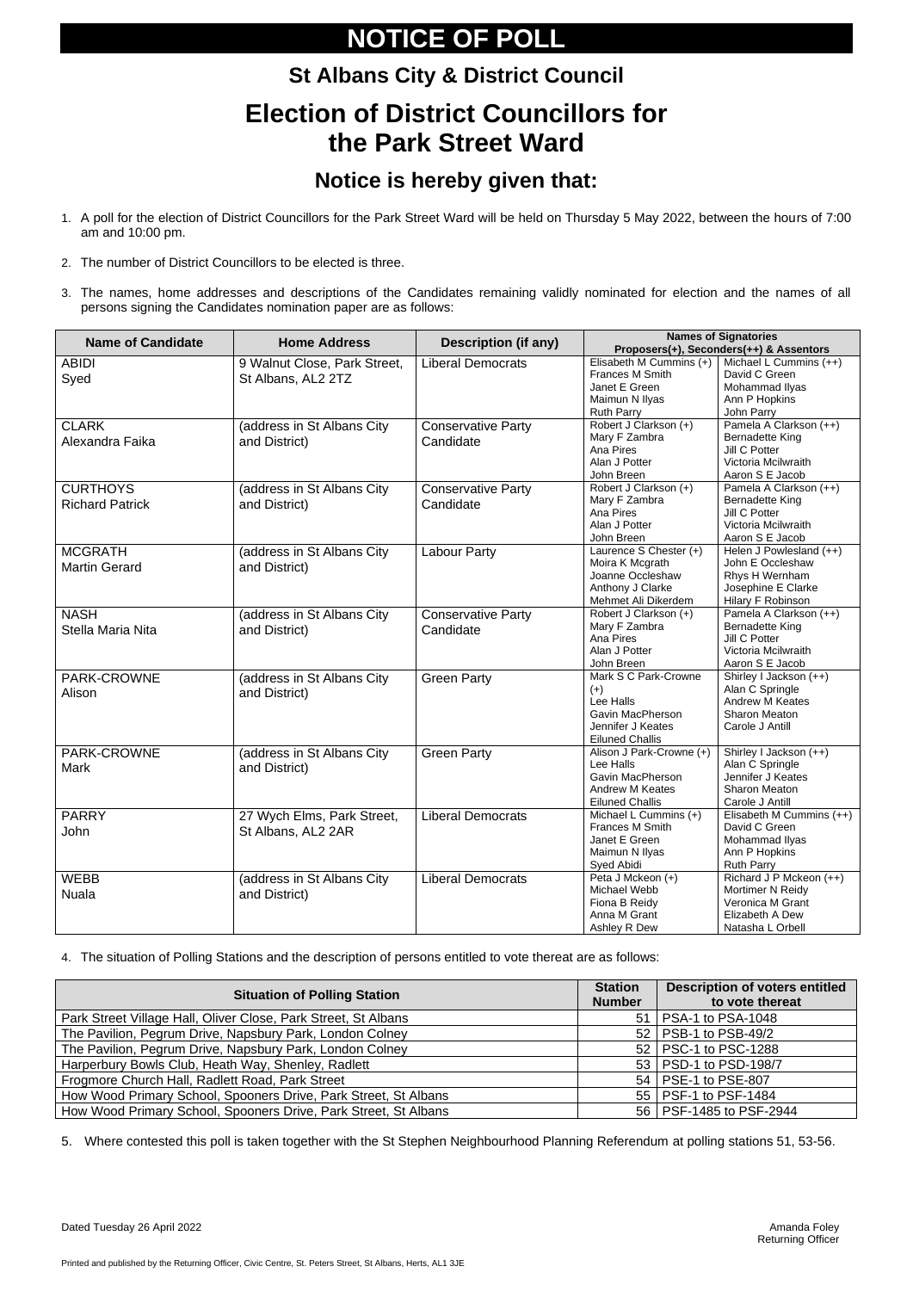Printed and published by the Returning Officer, Civic Centre, St. Peters Street, St Albans, Herts, AL1 3JE

# **NOTICE OF POLL**

### **St Albans City & District Council Election of District Councillors for the Park Street Ward**

### **Notice is hereby given that:**

- 1. A poll for the election of District Councillors for the Park Street Ward will be held on Thursday 5 May 2022, between the hours of 7:00 am and 10:00 pm.
- 2. The number of District Councillors to be elected is three.
- 3. The names, home addresses and descriptions of the Candidates remaining validly nominated for election and the names of all persons signing the Candidates nomination paper are as follows:

| <b>Name of Candidate</b> | <b>Home Address</b>          | <b>Description (if any)</b> | <b>Names of Signatories</b><br>Proposers(+), Seconders(++) & Assentors |                          |  |
|--------------------------|------------------------------|-----------------------------|------------------------------------------------------------------------|--------------------------|--|
| <b>ABIDI</b>             | 9 Walnut Close, Park Street, | <b>Liberal Democrats</b>    | Elisabeth M Cummins (+)                                                | Michael L Cummins (++)   |  |
|                          | St Albans, AL2 2TZ           |                             | Frances M Smith                                                        | David C Green            |  |
| Syed                     |                              |                             | Janet E Green                                                          | Mohammad Ilyas           |  |
|                          |                              |                             | Maimun N Ilyas                                                         | Ann P Hopkins            |  |
|                          |                              |                             | <b>Ruth Parry</b>                                                      | John Parry               |  |
| <b>CLARK</b>             | (address in St Albans City   | <b>Conservative Party</b>   | Robert J Clarkson (+)                                                  | Pamela A Clarkson (++)   |  |
| Alexandra Faika          | and District)                | Candidate                   | Mary F Zambra                                                          | <b>Bernadette King</b>   |  |
|                          |                              |                             | Ana Pires                                                              | Jill C Potter            |  |
|                          |                              |                             | Alan J Potter                                                          | Victoria Mcilwraith      |  |
|                          |                              |                             | John Breen                                                             | Aaron S E Jacob          |  |
| <b>CURTHOYS</b>          | (address in St Albans City   | <b>Conservative Party</b>   | Robert J Clarkson (+)                                                  | Pamela A Clarkson (++)   |  |
| <b>Richard Patrick</b>   | and District)                | Candidate                   | Mary F Zambra                                                          | <b>Bernadette King</b>   |  |
|                          |                              |                             | Ana Pires                                                              | Jill C Potter            |  |
|                          |                              |                             | Alan J Potter                                                          | Victoria Mcilwraith      |  |
|                          |                              |                             | John Breen                                                             | Aaron S E Jacob          |  |
| <b>MCGRATH</b>           | (address in St Albans City   | <b>Labour Party</b>         | Laurence S Chester (+)                                                 | Helen J Powlesland (++)  |  |
| <b>Martin Gerard</b>     | and District)                |                             | Moira K Mcgrath                                                        | John E Occleshaw         |  |
|                          |                              |                             | Joanne Occleshaw                                                       | Rhys H Wernham           |  |
|                          |                              |                             | Anthony J Clarke                                                       | Josephine E Clarke       |  |
|                          |                              |                             | Mehmet Ali Dikerdem                                                    | Hilary F Robinson        |  |
| <b>NASH</b>              | (address in St Albans City   | <b>Conservative Party</b>   | Robert J Clarkson (+)                                                  | Pamela A Clarkson (++)   |  |
| Stella Maria Nita        | and District)                | Candidate                   | Mary F Zambra                                                          | Bernadette King          |  |
|                          |                              |                             | Ana Pires                                                              | Jill C Potter            |  |
|                          |                              |                             | Alan J Potter                                                          | Victoria Mcilwraith      |  |
|                          |                              |                             | John Breen                                                             | Aaron S E Jacob          |  |
| PARK-CROWNE              | (address in St Albans City   | <b>Green Party</b>          | Mark S C Park-Crowne                                                   | Shirley I Jackson (++)   |  |
| Alison                   | and District)                |                             | $(+)$                                                                  | Alan C Springle          |  |
|                          |                              |                             | Lee Halls                                                              | <b>Andrew M Keates</b>   |  |
|                          |                              |                             | Gavin MacPherson                                                       | <b>Sharon Meaton</b>     |  |
|                          |                              |                             | Jennifer J Keates                                                      | Carole J Antill          |  |
|                          |                              |                             | <b>Eiluned Challis</b>                                                 |                          |  |
| PARK-CROWNE              | (address in St Albans City   | <b>Green Party</b>          | Alison J Park-Crowne (+)                                               | Shirley I Jackson (++)   |  |
| <b>Mark</b>              | and District)                |                             | Lee Halls                                                              | Alan C Springle          |  |
|                          |                              |                             | Gavin MacPherson                                                       | Jennifer J Keates        |  |
|                          |                              |                             | Andrew M Keates                                                        | <b>Sharon Meaton</b>     |  |
|                          |                              |                             | <b>Eiluned Challis</b>                                                 | Carole J Antill          |  |
| <b>PARRY</b>             | 27 Wych Elms, Park Street,   | <b>Liberal Democrats</b>    | Michael L Cummins (+)                                                  | Elisabeth M Cummins (++) |  |
| <b>John</b>              | St Albans, AL2 2AR           |                             | <b>Frances M Smith</b>                                                 | David C Green            |  |
|                          |                              |                             | Janet E Green                                                          | Mohammad Ilyas           |  |
|                          |                              |                             | Maimun N Ilyas                                                         | Ann P Hopkins            |  |
|                          |                              |                             | Syed Abidi                                                             | <b>Ruth Parry</b>        |  |
| <b>WEBB</b>              | (address in St Albans City   | <b>Liberal Democrats</b>    | Peta J Mckeon (+)                                                      | Richard J P Mckeon (++)  |  |
| <b>Nuala</b>             | and District)                |                             | Michael Webb                                                           | Mortimer N Reidy         |  |
|                          |                              |                             | Fiona B Reidy                                                          | Veronica M Grant         |  |
|                          |                              |                             | Anna M Grant                                                           | Elizabeth A Dew          |  |
|                          |                              |                             | Ashley R Dew                                                           | Natasha L Orbell         |  |

4. The situation of Polling Stations and the description of persons entitled to vote thereat are as follows:

| <b>Situation of Polling Station</b>                             | <b>Station</b><br><b>Number</b> | <b>Description of voters entitled</b><br>to vote thereat |
|-----------------------------------------------------------------|---------------------------------|----------------------------------------------------------|
| Park Street Village Hall, Oliver Close, Park Street, St Albans  | 51 <sub>1</sub>                 | <b>PSA-1 to PSA-1048</b>                                 |
| The Pavilion, Pegrum Drive, Napsbury Park, London Colney        |                                 | 52   PSB-1 to PSB-49/2                                   |
| The Pavilion, Pegrum Drive, Napsbury Park, London Colney        |                                 | 52   PSC-1 to PSC-1288                                   |
| Harperbury Bowls Club, Heath Way, Shenley, Radlett              |                                 | 53   PSD-1 to PSD-198/7                                  |
| Frogmore Church Hall, Radlett Road, Park Street                 |                                 | 54   PSE-1 to PSE-807                                    |
| How Wood Primary School, Spooners Drive, Park Street, St Albans |                                 | 55   PSF-1 to PSF-1484                                   |
| How Wood Primary School, Spooners Drive, Park Street, St Albans |                                 | 56   PSF-1485 to PSF-2944                                |

5. Where contested this poll is taken together with the St Stephen Neighbourhood Planning Referendum at polling stations 51, 53-56.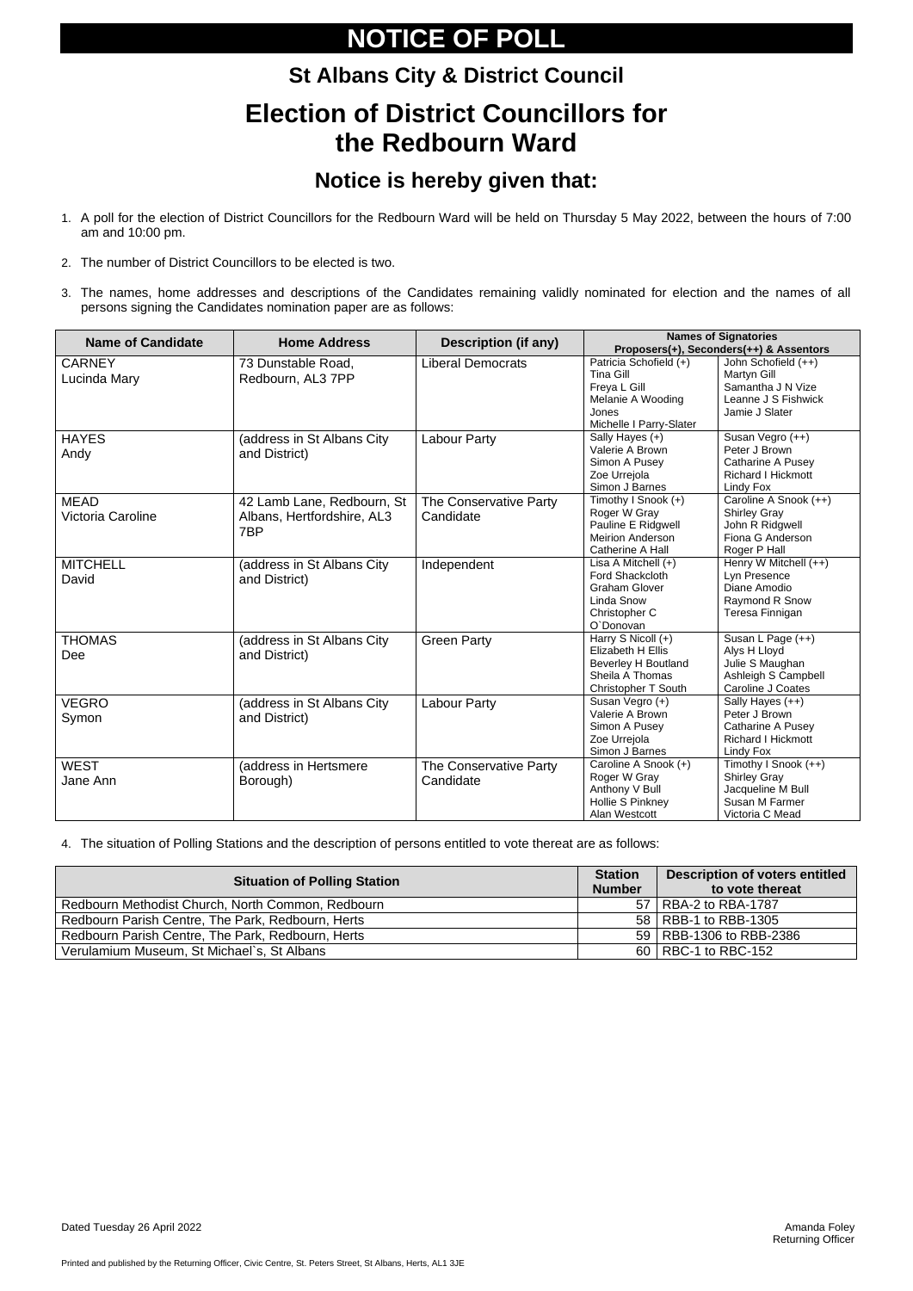Printed and published by the Returning Officer, Civic Centre, St. Peters Street, St Albans, Herts, AL1 3JE

# **NOTICE OF POLL**

# **St Albans City & District Council Election of District Councillors for the Redbourn Ward**

### **Notice is hereby given that:**

- 1. A poll for the election of District Councillors for the Redbourn Ward will be held on Thursday 5 May 2022, between the hours of 7:00 am and 10:00 pm.
- 2. The number of District Councillors to be elected is two.
- 3. The names, home addresses and descriptions of the Candidates remaining validly nominated for election and the names of all persons signing the Candidates nomination paper are as follows:

| <b>Name of Candidate</b>         | <b>Home Address</b>                                             | <b>Description (if any)</b>         | <b>Names of Signatories</b><br>Proposers(+), Seconders(++) & Assentors                                              |                                                                                                       |  |
|----------------------------------|-----------------------------------------------------------------|-------------------------------------|---------------------------------------------------------------------------------------------------------------------|-------------------------------------------------------------------------------------------------------|--|
| <b>CARNEY</b><br>Lucinda Mary    | 73 Dunstable Road,<br>Redbourn, AL3 7PP                         | <b>Liberal Democrats</b>            | Patricia Schofield (+)<br><b>Tina Gill</b><br>Freya L Gill<br>Melanie A Wooding<br>Jones<br>Michelle I Parry-Slater | John Schofield (++)<br>Martyn Gill<br>Samantha J N Vize<br>Leanne J S Fishwick<br>Jamie J Slater      |  |
| <b>HAYES</b><br>Andy             | (address in St Albans City)<br>and District)                    | <b>Labour Party</b>                 | Sally Hayes (+)<br>Valerie A Brown<br>Simon A Pusey<br>Zoe Urrejola<br>Simon J Barnes                               | Susan Vegro (++)<br>Peter J Brown<br>Catharine A Pusey<br><b>Richard I Hickmott</b><br>Lindy Fox      |  |
| <b>MEAD</b><br>Victoria Caroline | 42 Lamb Lane, Redbourn, St<br>Albans, Hertfordshire, AL3<br>7BP | The Conservative Party<br>Candidate | Timothy I Snook (+)<br>Roger W Gray<br>Pauline E Ridgwell<br><b>Meirion Anderson</b><br>Catherine A Hall            | Caroline A Snook (++)<br><b>Shirley Gray</b><br>John R Ridgwell<br>Fiona G Anderson<br>Roger P Hall   |  |
| <b>MITCHELL</b><br>David         | (address in St Albans City<br>and District)                     | Independent                         | Lisa A Mitchell $(+)$<br>Ford Shackcloth<br><b>Graham Glover</b><br>Linda Snow<br>Christopher C<br>O'Donovan        | Henry W Mitchell (++)<br>Lyn Presence<br>Diane Amodio<br>Raymond R Snow<br>Teresa Finnigan            |  |
| <b>THOMAS</b><br>Dee             | (address in St Albans City<br>and District)                     | <b>Green Party</b>                  | Harry S Nicoll (+)<br>Elizabeth H Ellis<br><b>Beverley H Boutland</b><br>Sheila A Thomas<br>Christopher T South     | Susan L Page (++)<br>Alys H Lloyd<br>Julie S Maughan<br>Ashleigh S Campbell<br>Caroline J Coates      |  |
| <b>VEGRO</b><br>Symon            | (address in St Albans City<br>and District)                     | <b>Labour Party</b>                 | Susan Vegro (+)<br>Valerie A Brown<br>Simon A Pusey<br>Zoe Urrejola<br>Simon J Barnes                               | Sally Hayes $(++)$<br>Peter J Brown<br>Catharine A Pusey<br><b>Richard I Hickmott</b><br>Lindy Fox    |  |
| <b>WEST</b><br>Jane Ann          | (address in Hertsmere<br>Borough)                               | The Conservative Party<br>Candidate | Caroline A Snook (+)<br>Roger W Gray<br>Anthony V Bull<br>Hollie S Pinkney<br>Alan Westcott                         | Timothy I Snook (++)<br><b>Shirley Gray</b><br>Jacqueline M Bull<br>Susan M Farmer<br>Victoria C Mead |  |

4. The situation of Polling Stations and the description of persons entitled to vote thereat are as follows:

| <b>Situation of Polling Station</b>               | <b>Station</b><br><b>Number</b> | <b>Description of voters entitled</b><br>to vote thereat |
|---------------------------------------------------|---------------------------------|----------------------------------------------------------|
| Redbourn Methodist Church, North Common, Redbourn | 57                              | $\sqrt{2}$   RBA-2 to RBA-1787                           |
| Redbourn Parish Centre, The Park, Redbourn, Herts |                                 | 58   RBB-1 to RBB-1305                                   |
| Redbourn Parish Centre, The Park, Redbourn, Herts |                                 | 59   RBB-1306 to RBB-2386                                |
| Verulamium Museum, St Michael's, St Albans        |                                 | 60   RBC-1 to RBC-152                                    |

Dated Tuesday 26 April 2022 **Amanda Foley** Amanda Foley

Returning Officer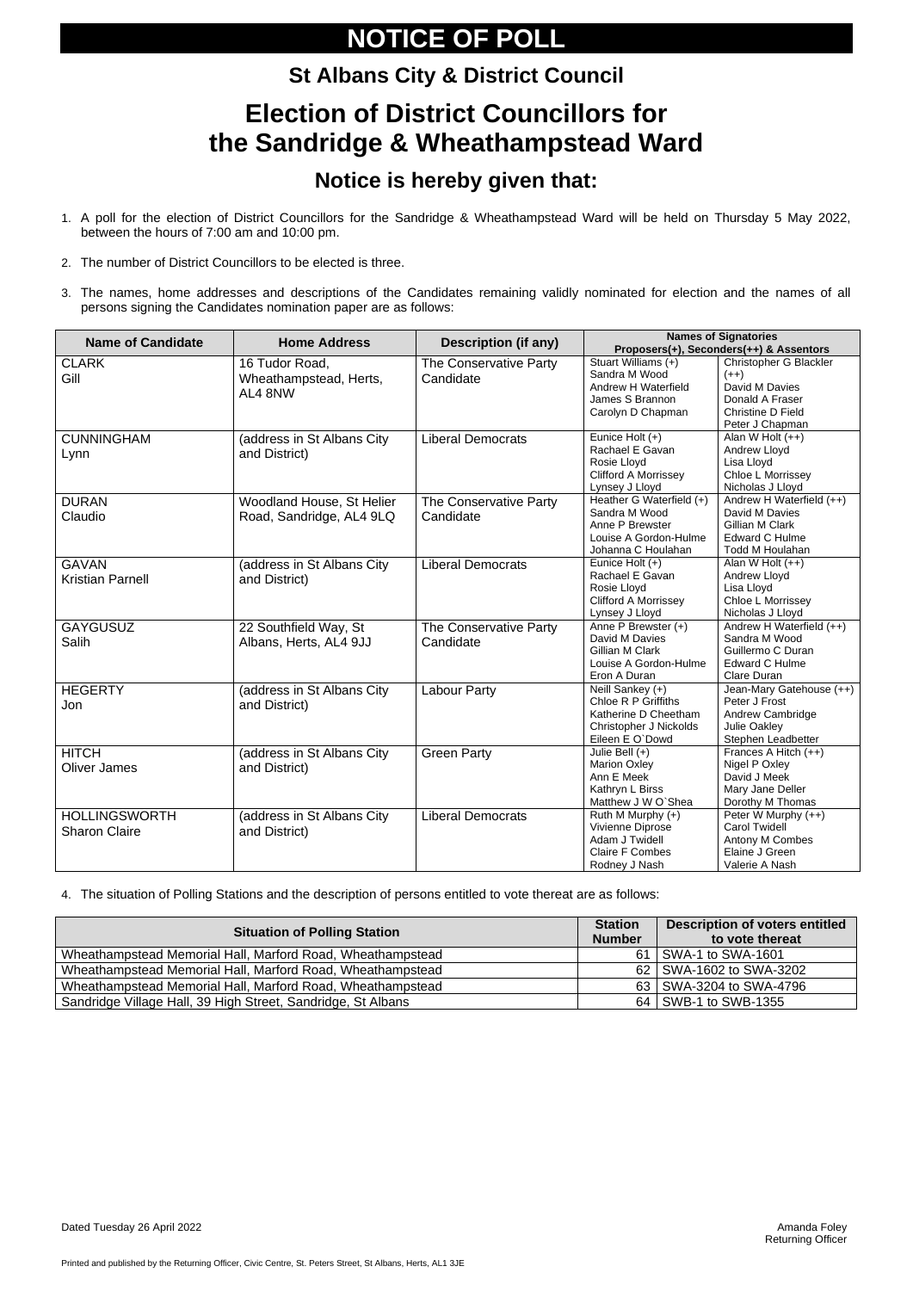Printed and published by the Returning Officer, Civic Centre, St. Peters Street, St Albans, Herts, AL1 3JE

# **NOTICE OF POLL**

### **St Albans City & District Council**

### **Election of District Councillors for the Sandridge & Wheathampstead Ward**

### **Notice is hereby given that:**

- 1. A poll for the election of District Councillors for the Sandridge & Wheathampstead Ward will be held on Thursday 5 May 2022, between the hours of 7:00 am and 10:00 pm.
- 2. The number of District Councillors to be elected is three.
- 3. The names, home addresses and descriptions of the Candidates remaining validly nominated for election and the names of all persons signing the Candidates nomination paper are as follows:

| <b>Name of Candidate</b> | <b>Home Address</b>        | <b>Description (if any)</b> | <b>Names of Signatories</b><br>Proposers(+), Seconders(++) & Assentors |                                         |  |
|--------------------------|----------------------------|-----------------------------|------------------------------------------------------------------------|-----------------------------------------|--|
|                          |                            |                             |                                                                        |                                         |  |
| <b>CLARK</b>             | 16 Tudor Road,             | The Conservative Party      | Stuart Williams (+)<br>Sandra M Wood                                   | <b>Christopher G Blackler</b><br>$(++)$ |  |
| Gill                     | Wheathampstead, Herts,     | Candidate                   | Andrew H Waterfield                                                    | David M Davies                          |  |
|                          | AL4 8NW                    |                             | James S Brannon                                                        | Donald A Fraser                         |  |
|                          |                            |                             | Carolyn D Chapman                                                      | Christine D Field                       |  |
|                          |                            |                             |                                                                        | Peter J Chapman                         |  |
| <b>CUNNINGHAM</b>        | (address in St Albans City | <b>Liberal Democrats</b>    | Eunice Holt (+)                                                        | Alan W Holt $(++)$                      |  |
|                          |                            |                             | Rachael E Gavan                                                        | <b>Andrew Lloyd</b>                     |  |
| Lynn                     | and District)              |                             | Rosie Lloyd                                                            | Lisa Lloyd                              |  |
|                          |                            |                             | <b>Clifford A Morrissey</b>                                            | Chloe L Morrissey                       |  |
|                          |                            |                             | Lynsey J Lloyd                                                         | Nicholas J Lloyd                        |  |
| <b>DURAN</b>             | Woodland House, St Helier  | The Conservative Party      | Heather G Waterfield (+)                                               | Andrew H Waterfield (++)                |  |
| Claudio                  | Road, Sandridge, AL4 9LQ   | Candidate                   | Sandra M Wood                                                          | David M Davies                          |  |
|                          |                            |                             | Anne P Brewster                                                        | Gillian M Clark                         |  |
|                          |                            |                             | Louise A Gordon-Hulme                                                  | <b>Edward C Hulme</b>                   |  |
|                          |                            |                             | Johanna C Houlahan                                                     | Todd M Houlahan                         |  |
| <b>GAVAN</b>             | (address in St Albans City | <b>Liberal Democrats</b>    | Eunice Holt (+)                                                        | Alan W Holt (++)                        |  |
| <b>Kristian Parnell</b>  | and District)              |                             | Rachael E Gavan                                                        | Andrew Lloyd                            |  |
|                          |                            |                             | Rosie Lloyd                                                            | Lisa Lloyd                              |  |
|                          |                            |                             | <b>Clifford A Morrissey</b>                                            | Chloe L Morrissey                       |  |
|                          |                            |                             | Lynsey J Lloyd                                                         | Nicholas J Lloyd                        |  |
| <b>GAYGUSUZ</b>          | 22 Southfield Way, St      | The Conservative Party      | Anne P Brewster (+)                                                    | Andrew H Waterfield (++)                |  |
| <b>Salih</b>             | Albans, Herts, AL4 9JJ     | Candidate                   | David M Davies                                                         | Sandra M Wood                           |  |
|                          |                            |                             | Gillian M Clark                                                        | Guillermo C Duran                       |  |
|                          |                            |                             | Louise A Gordon-Hulme                                                  | <b>Edward C Hulme</b>                   |  |
|                          |                            |                             | Eron A Duran                                                           | Clare Duran                             |  |
| <b>HEGERTY</b>           | (address in St Albans City | <b>Labour Party</b>         | Neill Sankey (+)                                                       | Jean-Mary Gatehouse (++)                |  |
| Jon                      | and District)              |                             | <b>Chloe R P Griffiths</b>                                             | Peter J Frost                           |  |
|                          |                            |                             | Katherine D Cheetham                                                   | Andrew Cambridge                        |  |
|                          |                            |                             | Christopher J Nickolds                                                 | <b>Julie Oakley</b>                     |  |
|                          |                            |                             | Eileen E O'Dowd                                                        | Stephen Leadbetter                      |  |
| <b>HITCH</b>             | (address in St Albans City | <b>Green Party</b>          | Julie Bell $(+)$                                                       | Frances A Hitch (++)                    |  |
| <b>Oliver James</b>      | and District)              |                             | <b>Marion Oxley</b>                                                    | Nigel P Oxley                           |  |
|                          |                            |                             | Ann E Meek                                                             | David J Meek                            |  |
|                          |                            |                             | Kathryn L Birss                                                        | Mary Jane Deller                        |  |
|                          |                            |                             | Matthew J W O'Shea                                                     | Dorothy M Thomas                        |  |
| <b>HOLLINGSWORTH</b>     | (address in St Albans City | <b>Liberal Democrats</b>    | Ruth M Murphy (+)                                                      | Peter W Murphy (++)                     |  |
| <b>Sharon Claire</b>     | and District)              |                             | Vivienne Diprose<br>Adam J Twidell                                     | <b>Carol Twidell</b>                    |  |
|                          |                            |                             |                                                                        | Antony M Combes<br>Elaine J Green       |  |
|                          |                            |                             | <b>Claire F Combes</b>                                                 |                                         |  |
|                          |                            |                             | Rodney J Nash                                                          | Valerie A Nash                          |  |

4. The situation of Polling Stations and the description of persons entitled to vote thereat are as follows:

| <b>Situation of Polling Station</b>                          | <b>Station</b><br><b>Number</b> | <b>Description of voters entitled</b><br>to vote thereat |
|--------------------------------------------------------------|---------------------------------|----------------------------------------------------------|
| Wheathampstead Memorial Hall, Marford Road, Wheathampstead   | $61 \mid$                       | SWA-1 to SWA-1601                                        |
| Wheathampstead Memorial Hall, Marford Road, Wheathampstead   | 62 I                            | SWA-1602 to SWA-3202                                     |
| Wheathampstead Memorial Hall, Marford Road, Wheathampstead   |                                 | 63   SWA-3204 to SWA-4796                                |
| Sandridge Village Hall, 39 High Street, Sandridge, St Albans |                                 | 64   SWB-1 to SWB-1355                                   |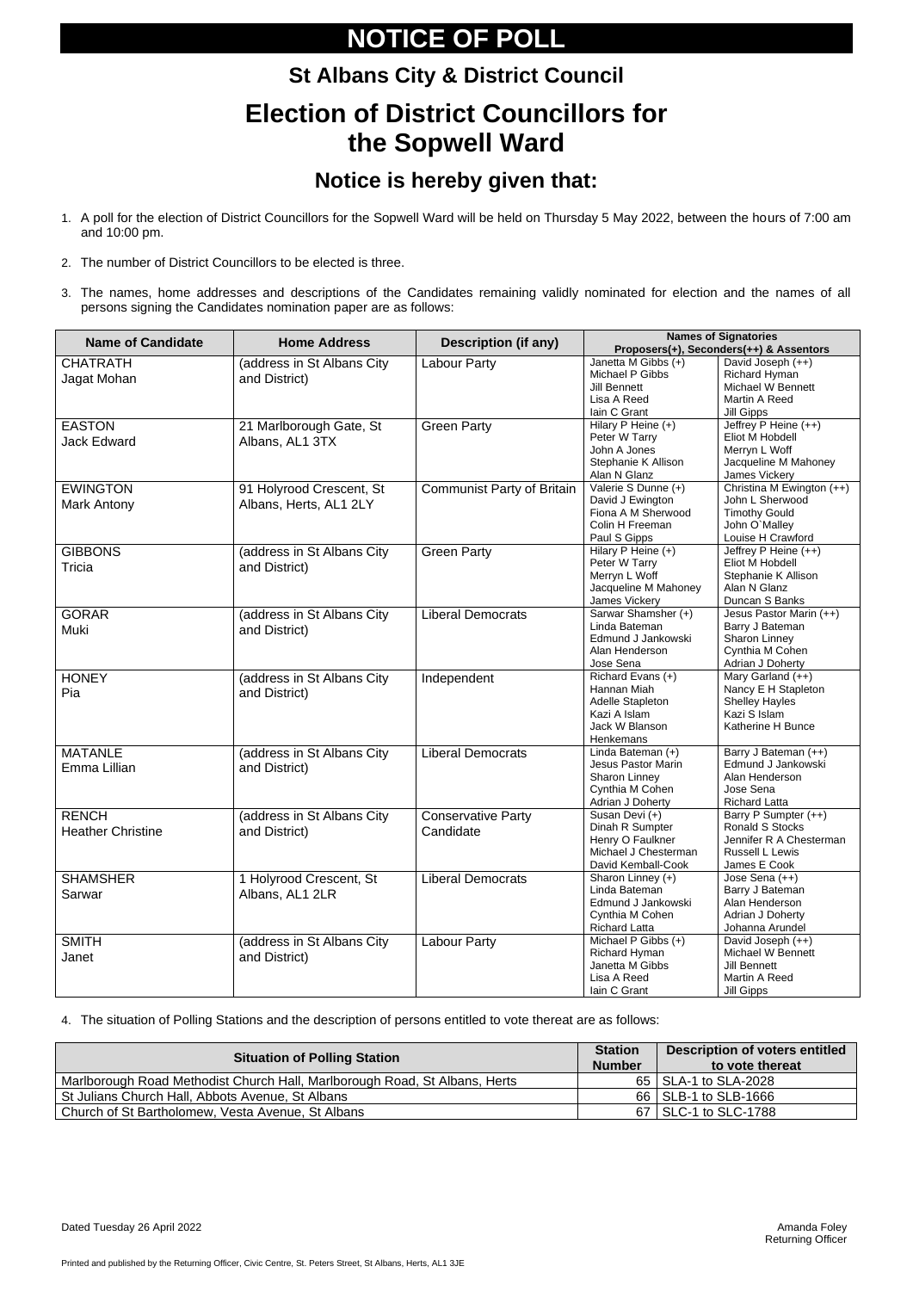Printed and published by the Returning Officer, Civic Centre, St. Peters Street, St Albans, Herts, AL1 3JE

# **NOTICE OF POLL**

# **St Albans City & District Council Election of District Councillors for the Sopwell Ward**

### **Notice is hereby given that:**

- 1. A poll for the election of District Councillors for the Sopwell Ward will be held on Thursday 5 May 2022, between the hours of 7:00 am and 10:00 pm.
- 2. The number of District Councillors to be elected is three.
- 3. The names, home addresses and descriptions of the Candidates remaining validly nominated for election and the names of all persons signing the Candidates nomination paper are as follows:

| <b>Name of Candidate</b>                 | <b>Home Address</b>                                | <b>Description (if any)</b>       | <b>Names of Signatories</b><br>Proposers(+), Seconders(++) & Assentors                                |                                                                                                              |  |
|------------------------------------------|----------------------------------------------------|-----------------------------------|-------------------------------------------------------------------------------------------------------|--------------------------------------------------------------------------------------------------------------|--|
| <b>CHATRATH</b><br>Jagat Mohan           | (address in St Albans City<br>and District)        | <b>Labour Party</b>               | Janetta M Gibbs (+)<br>Michael P Gibbs<br><b>Jill Bennett</b><br>Lisa A Reed<br>Iain C Grant          | David Joseph (++)<br>Richard Hyman<br>Michael W Bennett<br>Martin A Reed<br><b>Jill Gipps</b>                |  |
| <b>EASTON</b><br><b>Jack Edward</b>      | 21 Marlborough Gate, St<br>Albans, AL1 3TX         | <b>Green Party</b>                | Hilary P Heine (+)<br>Peter W Tarry<br>John A Jones<br>Stephanie K Allison<br>Alan N Glanz            | Jeffrey P Heine (++)<br>Eliot M Hobdell<br>Merryn L Woff<br>Jacqueline M Mahoney<br>James Vickery            |  |
| <b>EWINGTON</b><br><b>Mark Antony</b>    | 91 Holyrood Crescent, St<br>Albans, Herts, AL1 2LY | <b>Communist Party of Britain</b> | Valerie S Dunne (+)<br>David J Ewington<br>Fiona A M Sherwood<br>Colin H Freeman<br>Paul S Gipps      | Christina M Ewington (++)<br>John L Sherwood<br><b>Timothy Gould</b><br>John O'Malley<br>Louise H Crawford   |  |
| <b>GIBBONS</b><br>Tricia                 | (address in St Albans City<br>and District)        | <b>Green Party</b>                | Hilary P Heine $(+)$<br>Peter W Tarry<br>Merryn L Woff<br>Jacqueline M Mahoney<br>James Vickery       | Jeffrey P Heine (++)<br>Eliot M Hobdell<br>Stephanie K Allison<br>Alan N Glanz<br>Duncan S Banks             |  |
| <b>GORAR</b><br>Muki                     | (address in St Albans City<br>and District)        | <b>Liberal Democrats</b>          | Sarwar Shamsher (+)<br>Linda Bateman<br>Edmund J Jankowski<br>Alan Henderson<br>Jose Sena             | Jesus Pastor Marin (++)<br>Barry J Bateman<br>Sharon Linney<br>Cynthia M Cohen<br>Adrian J Doherty           |  |
| <b>HONEY</b><br>Pia                      | (address in St Albans City<br>and District)        | Independent                       | Richard Evans (+)<br>Hannan Miah<br>Adelle Stapleton<br>Kazi A Islam<br>Jack W Blanson<br>Henkemans   | Mary Garland (++)<br>Nancy E H Stapleton<br><b>Shelley Hayles</b><br>Kazi S Islam<br>Katherine H Bunce       |  |
| <b>MATANLE</b><br>Emma Lillian           | (address in St Albans City<br>and District)        | <b>Liberal Democrats</b>          | Linda Bateman (+)<br>Jesus Pastor Marin<br>Sharon Linney<br>Cynthia M Cohen<br>Adrian J Doherty       | Barry J Bateman (++)<br>Edmund J Jankowski<br>Alan Henderson<br>Jose Sena<br><b>Richard Latta</b>            |  |
| <b>RENCH</b><br><b>Heather Christine</b> | (address in St Albans City<br>and District)        | Conservative Party<br>Candidate   | Susan Devi $(+)$<br>Dinah R Sumpter<br>Henry O Faulkner<br>Michael J Chesterman<br>David Kemball-Cook | Barry P Sumpter (++)<br>Ronald S Stocks<br>Jennifer R A Chesterman<br><b>Russell L Lewis</b><br>James E Cook |  |
| <b>SHAMSHER</b><br>Sarwar                | 1 Holyrood Crescent, St<br>Albans, AL1 2LR         | <b>Liberal Democrats</b>          | Sharon Linney (+)<br>Linda Bateman<br>Edmund J Jankowski<br>Cynthia M Cohen<br><b>Richard Latta</b>   | Jose Sena (++)<br>Barry J Bateman<br>Alan Henderson<br>Adrian J Doherty<br>Johanna Arundel                   |  |
| <b>SMITH</b><br>Janet                    | (address in St Albans City<br>and District)        | <b>Labour Party</b>               | Michael P Gibbs (+)<br>Richard Hyman<br>Janetta M Gibbs<br>Lisa A Reed<br>Iain C Grant                | David Joseph (++)<br>Michael W Bennett<br><b>Jill Bennett</b><br>Martin A Reed<br>Jill Gipps                 |  |

4. The situation of Polling Stations and the description of persons entitled to vote thereat are as follows:

| <b>Situation of Polling Station</b>                                        |  | <b>Description of voters entitled</b><br>to vote thereat |
|----------------------------------------------------------------------------|--|----------------------------------------------------------|
| Marlborough Road Methodist Church Hall, Marlborough Road, St Albans, Herts |  | 65   SLA-1 to SLA-2028                                   |
| St Julians Church Hall, Abbots Avenue, St Albans                           |  | 66   SLB-1 to SLB-1666                                   |
| Church of St Bartholomew, Vesta Avenue, St Albans                          |  | 67   SLC-1 to SLC-1788                                   |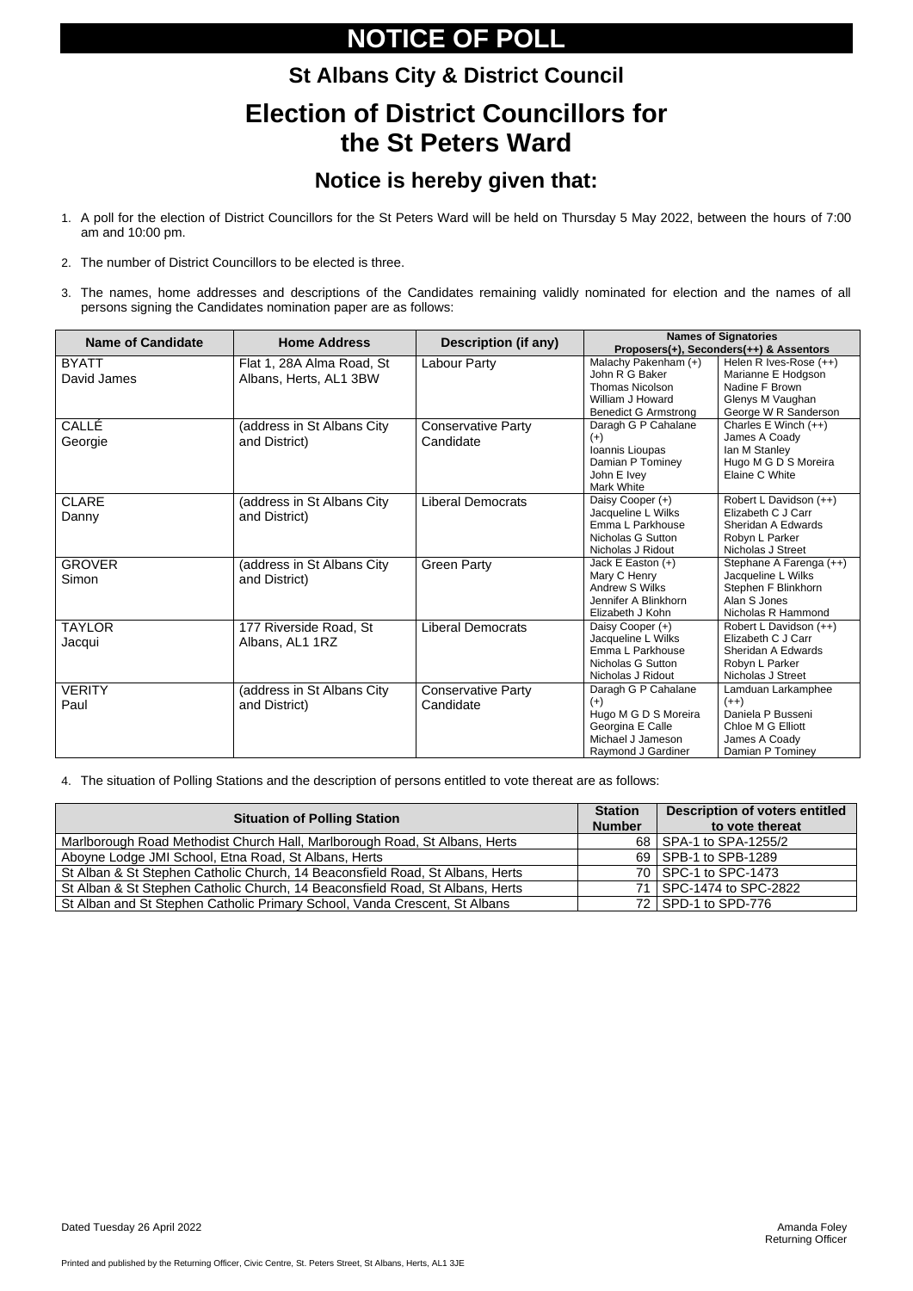Printed and published by the Returning Officer, Civic Centre, St. Peters Street, St Albans, Herts, AL1 3JE

# **NOTICE OF POLL**

# **St Albans City & District Council Election of District Councillors for the St Peters Ward**

### **Notice is hereby given that:**

- 1. A poll for the election of District Councillors for the St Peters Ward will be held on Thursday 5 May 2022, between the hours of 7:00 am and 10:00 pm.
- 2. The number of District Councillors to be elected is three.
- 3. The names, home addresses and descriptions of the Candidates remaining validly nominated for election and the names of all persons signing the Candidates nomination paper are as follows:

| <b>Name of Candidate</b>    | <b>Home Address</b>                                 | <b>Description (if any)</b>            | <b>Names of Signatories</b><br>Proposers(+), Seconders(++) & Assentors                                              |                                                                                                             |  |
|-----------------------------|-----------------------------------------------------|----------------------------------------|---------------------------------------------------------------------------------------------------------------------|-------------------------------------------------------------------------------------------------------------|--|
| <b>BYATT</b><br>David James | Flat 1, 28A Alma Road, St<br>Albans, Herts, AL1 3BW | Labour Party                           | Malachy Pakenham (+)<br>John R G Baker<br><b>Thomas Nicolson</b><br>William J Howard<br><b>Benedict G Armstrong</b> | Helen R Ives-Rose (++)<br>Marianne E Hodgson<br>Nadine F Brown<br>Glenys M Vaughan<br>George W R Sanderson  |  |
| CALLÉ<br>Georgie            | (address in St Albans City<br>and District)         | <b>Conservative Party</b><br>Candidate | Daragh G P Cahalane<br>$(+)$<br>Ioannis Lioupas<br>Damian P Tominey<br>John E Ivey<br><b>Mark White</b>             | Charles E Winch (++)<br>James A Coady<br>Ian M Stanley<br>Hugo M G D S Moreira<br>Elaine C White            |  |
| <b>CLARE</b><br>Danny       | (address in St Albans City<br>and District)         | <b>Liberal Democrats</b>               | Daisy Cooper (+)<br>Jacqueline L Wilks<br>Emma L Parkhouse<br>Nicholas G Sutton<br>Nicholas J Ridout                | Robert L Davidson (++)<br>Elizabeth C J Carr<br>Sheridan A Edwards<br>Robyn L Parker<br>Nicholas J Street   |  |
| <b>GROVER</b><br>Simon      | (address in St Albans City<br>and District)         | <b>Green Party</b>                     | Jack E Easton (+)<br>Mary C Henry<br><b>Andrew S Wilks</b><br>Jennifer A Blinkhorn<br>Elizabeth J Kohn              | Stephane A Farenga (++)<br>Jacqueline L Wilks<br>Stephen F Blinkhorn<br>Alan S Jones<br>Nicholas R Hammond  |  |
| <b>TAYLOR</b><br>Jacqui     | 177 Riverside Road, St<br>Albans, AL1 1RZ           | <b>Liberal Democrats</b>               | Daisy Cooper (+)<br>Jacqueline L Wilks<br>Emma L Parkhouse<br><b>Nicholas G Sutton</b><br>Nicholas J Ridout         | Robert L Davidson (++)<br>Elizabeth C J Carr<br>Sheridan A Edwards<br>Robyn L Parker<br>Nicholas J Street   |  |
| <b>VERITY</b><br>Paul       | (address in St Albans City<br>and District)         | <b>Conservative Party</b><br>Candidate | Daragh G P Cahalane<br>$(+)$<br>Hugo M G D S Moreira<br>Georgina E Calle<br>Michael J Jameson<br>Raymond J Gardiner | Lamduan Larkamphee<br>$(++)$<br>Daniela P Busseni<br>Chloe M G Elliott<br>James A Coady<br>Damian P Tominey |  |

#### 4. The situation of Polling Stations and the description of persons entitled to vote thereat are as follows:

| <b>Situation of Polling Station</b>                                           | <b>Station</b><br><b>Number</b> | <b>Description of voters entitled</b><br>to vote thereat |
|-------------------------------------------------------------------------------|---------------------------------|----------------------------------------------------------|
| Marlborough Road Methodist Church Hall, Marlborough Road, St Albans, Herts    |                                 | 68   SPA-1 to SPA-1255/2                                 |
| Aboyne Lodge JMI School, Etna Road, St Albans, Herts                          |                                 | 69   SPB-1 to SPB-1289                                   |
| St Alban & St Stephen Catholic Church, 14 Beaconsfield Road, St Albans, Herts |                                 | 70   SPC-1 to SPC-1473                                   |
| St Alban & St Stephen Catholic Church, 14 Beaconsfield Road, St Albans, Herts |                                 | 71   SPC-1474 to SPC-2822                                |
| St Alban and St Stephen Catholic Primary School, Vanda Crescent, St Albans    |                                 | 72   SPD-1 to SPD-776                                    |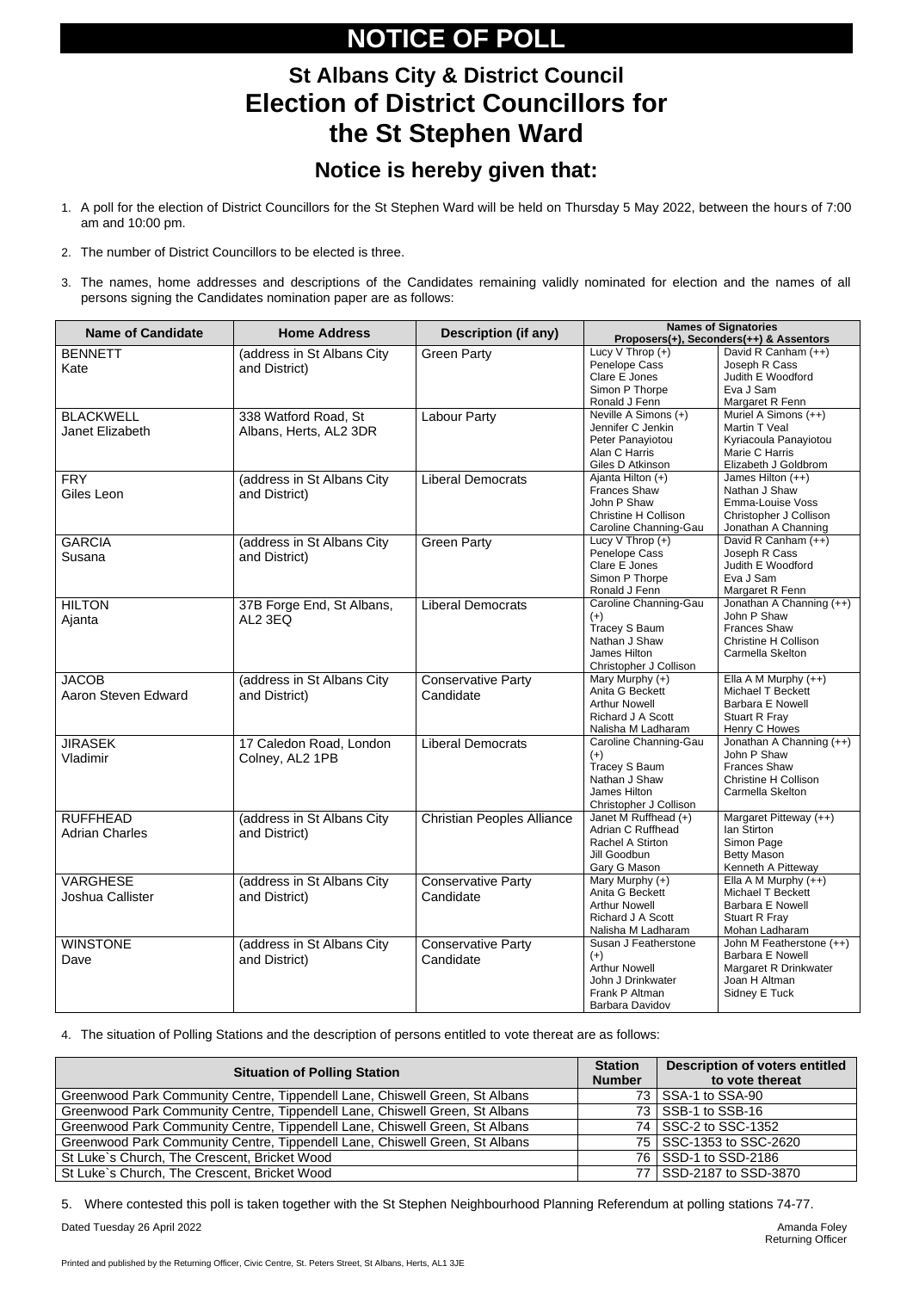Printed and published by the Returning Officer, Civic Centre, St. Peters Street, St Albans, Herts, AL1 3JE

# **NOTICE OF POLL**

### **St Albans City & District Council Election of District Councillors for the St Stephen Ward**

#### **Notice is hereby given that:**

- 1. A poll for the election of District Councillors for the St Stephen Ward will be held on Thursday 5 May 2022, between the hours of 7:00 am and 10:00 pm.
- 2. The number of District Councillors to be elected is three.
- 3. The names, home addresses and descriptions of the Candidates remaining validly nominated for election and the names of all persons signing the Candidates nomination paper are as follows:

| <b>Name of Candidate</b>                   | <b>Home Address</b>                            | <b>Description (if any)</b>            | <b>Names of Signatories</b><br>Proposers(+), Seconders(++) & Assentors                                          |                                                                                                                   |
|--------------------------------------------|------------------------------------------------|----------------------------------------|-----------------------------------------------------------------------------------------------------------------|-------------------------------------------------------------------------------------------------------------------|
| <b>BENNETT</b><br>Kate                     | (address in St Albans City<br>and District)    | <b>Green Party</b>                     | Lucy V Throp (+)<br>Penelope Cass<br>Clare E Jones<br>Simon P Thorpe<br>Ronald J Fenn                           | David R Canham (++)<br>Joseph R Cass<br>Judith E Woodford<br>Eva J Sam<br>Margaret R Fenn                         |
| <b>BLACKWELL</b><br>Janet Elizabeth        | 338 Watford Road, St<br>Albans, Herts, AL2 3DR | <b>Labour Party</b>                    | Neville A Simons (+)<br>Jennifer C Jenkin<br>Peter Panayiotou<br>Alan C Harris<br>Giles D Atkinson              | Muriel A Simons (++)<br>Martin T Veal<br>Kyriacoula Panayiotou<br>Marie C Harris<br>Elizabeth J Goldbrom          |
| <b>FRY</b><br>Giles Leon                   | (address in St Albans City<br>and District)    | <b>Liberal Democrats</b>               | Ajanta Hilton (+)<br><b>Frances Shaw</b><br>John P Shaw<br><b>Christine H Collison</b><br>Caroline Channing-Gau | James Hilton (++)<br>Nathan J Shaw<br>Emma-Louise Voss<br>Christopher J Collison<br>Jonathan A Channing           |
| <b>GARCIA</b><br>Susana                    | (address in St Albans City<br>and District)    | <b>Green Party</b>                     | Lucy $V$ Throp $(+)$<br>Penelope Cass<br>Clare E Jones<br>Simon P Thorpe<br>Ronald J Fenn                       | David R Canham (++)<br>Joseph R Cass<br>Judith E Woodford<br>Eva J Sam<br>Margaret R Fenn                         |
| <b>HILTON</b><br>Ajanta                    | 37B Forge End, St Albans,<br>AL2 3EQ           | <b>Liberal Democrats</b>               | Caroline Channing-Gau<br>$(+)$<br>Tracey S Baum<br>Nathan J Shaw<br>James Hilton<br>Christopher J Collison      | Jonathan A Channing (++)<br>John P Shaw<br><b>Frances Shaw</b><br><b>Christine H Collison</b><br>Carmella Skelton |
| <b>JACOB</b><br><b>Aaron Steven Edward</b> | (address in St Albans City<br>and District)    | <b>Conservative Party</b><br>Candidate | Mary Murphy (+)<br>Anita G Beckett<br><b>Arthur Nowell</b><br><b>Richard J A Scott</b><br>Nalisha M Ladharam    | Ella A M Murphy $(++)$<br>Michael T Beckett<br><b>Barbara E Nowell</b><br>Stuart R Fray<br>Henry C Howes          |
| <b>JIRASEK</b><br>Vladimir                 | 17 Caledon Road, London<br>Colney, AL2 1PB     | <b>Liberal Democrats</b>               | Caroline Channing-Gau<br>$(+)$<br>Tracey S Baum<br>Nathan J Shaw<br>James Hilton<br>Christopher J Collison      | Jonathan A Channing (++)<br>John P Shaw<br><b>Frances Shaw</b><br><b>Christine H Collison</b><br>Carmella Skelton |
| <b>RUFFHEAD</b><br><b>Adrian Charles</b>   | (address in St Albans City<br>and District)    | <b>Christian Peoples Alliance</b>      | Janet M Ruffhead (+)<br>Adrian C Ruffhead<br>Rachel A Stirton<br>Jill Goodbun<br>Gary G Mason                   | Margaret Pitteway (++)<br>Ian Stirton<br>Simon Page<br><b>Betty Mason</b><br>Kenneth A Pitteway                   |
| <b>VARGHESE</b><br><b>Joshua Callister</b> | (address in St Albans City<br>and District)    | <b>Conservative Party</b><br>Candidate | Mary Murphy (+)<br>Anita G Beckett<br><b>Arthur Nowell</b><br><b>Richard J A Scott</b><br>Nalisha M Ladharam    | Ella A M Murphy $(++)$<br>Michael T Beckett<br><b>Barbara E Nowell</b><br>Stuart R Fray<br>Mohan Ladharam         |
| <b>WINSTONE</b><br>Dave                    | (address in St Albans City<br>and District)    | <b>Conservative Party</b><br>Candidate | Susan J Featherstone<br>$(+)$<br><b>Arthur Nowell</b><br>John J Drinkwater<br>Frank P Altman<br>Barbara Davidov | John M Featherstone (++)<br><b>Barbara E Nowell</b><br>Margaret R Drinkwater<br>Joan H Altman<br>Sidney E Tuck    |

4. The situation of Polling Stations and the description of persons entitled to vote thereat are as follows:

| <b>Situation of Polling Station</b>                                         |                 | <b>Description of voters entitled</b><br>to vote thereat |
|-----------------------------------------------------------------------------|-----------------|----------------------------------------------------------|
| Greenwood Park Community Centre, Tippendell Lane, Chiswell Green, St Albans | 73 <sub>1</sub> | SSA-1 to SSA-90                                          |
| Greenwood Park Community Centre, Tippendell Lane, Chiswell Green, St Albans | 73 I            | SSB-1 to SSB-16                                          |
| Greenwood Park Community Centre, Tippendell Lane, Chiswell Green, St Albans |                 | 74 SSC-2 to SSC-1352                                     |
| Greenwood Park Community Centre, Tippendell Lane, Chiswell Green, St Albans |                 | 75   SSC-1353 to SSC-2620                                |
| St Luke's Church, The Crescent, Bricket Wood                                |                 | 76   SSD-1 to SSD-2186                                   |
| St Luke's Church, The Crescent, Bricket Wood                                |                 | 77   SSD-2187 to SSD-3870                                |

5. Where contested this poll is taken together with the St Stephen Neighbourhood Planning Referendum at polling stations 74-77.